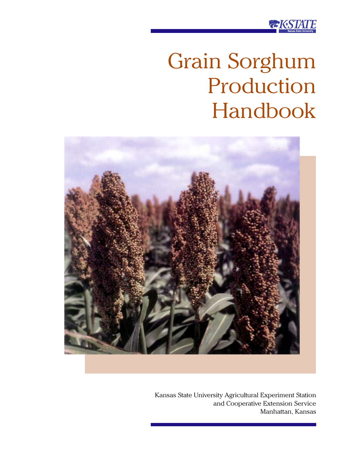

# Grain Sorghum Production Handbook



Kansas State University Agricultural Experiment Station and Cooperative Extension Service Manhattan, Kansas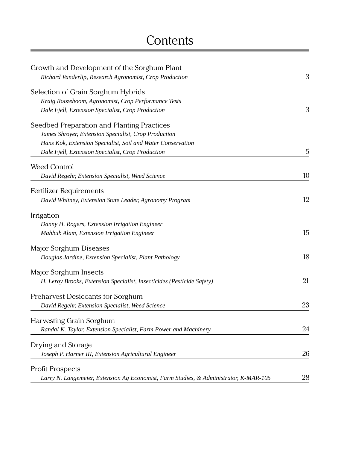# **Contents**

| Growth and Development of the Sorghum Plant                                           |    |
|---------------------------------------------------------------------------------------|----|
| Richard Vanderlip, Research Agronomist, Crop Production                               | 3  |
| Selection of Grain Sorghum Hybrids                                                    |    |
| Kraig Roozeboom, Agronomist, Crop Performance Tests                                   |    |
| Dale Fjell, Extension Specialist, Crop Production                                     | 3  |
| Seedbed Preparation and Planting Practices                                            |    |
| James Shroyer, Extension Specialist, Crop Production                                  |    |
| Hans Kok, Extension Specialist, Soil and Water Conservation                           |    |
| Dale Fjell, Extension Specialist, Crop Production                                     | 5  |
| <b>Weed Control</b>                                                                   |    |
| David Regehr, Extension Specialist, Weed Science                                      | 10 |
| <b>Fertilizer Requirements</b>                                                        |    |
| David Whitney, Extension State Leader, Agronomy Program                               | 12 |
| Irrigation                                                                            |    |
| Danny H. Rogers, Extension Irrigation Engineer                                        |    |
| Mahbub Alam, Extension Irrigation Engineer                                            | 15 |
| Major Sorghum Diseases                                                                |    |
| Douglas Jardine, Extension Specialist, Plant Pathology                                | 18 |
| Major Sorghum Insects                                                                 |    |
| H. Leroy Brooks, Extension Specialist, Insecticides (Pesticide Safety)                | 21 |
| Preharvest Desiccants for Sorghum                                                     |    |
| David Regehr, Extension Specialist, Weed Science                                      | 23 |
| Harvesting Grain Sorghum                                                              |    |
| Randal K. Taylor, Extension Specialist, Farm Power and Machinery                      | 24 |
| Drying and Storage                                                                    |    |
| Joseph P. Harner III, Extension Agricultural Engineer                                 | 26 |
| <b>Profit Prospects</b>                                                               |    |
| Larry N. Langemeier, Extension Ag Economist, Farm Studies, & Administrator, K-MAR-105 | 28 |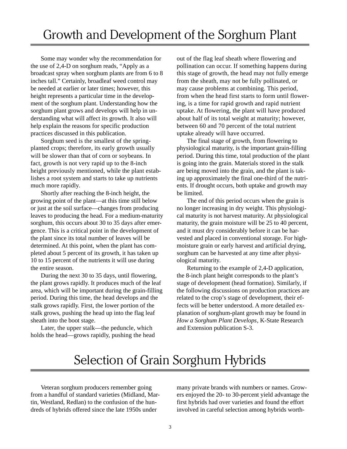Some may wonder why the recommendation for the use of 2,4-D on sorghum reads, "Apply as a broadcast spray when sorghum plants are from 6 to 8 inches tall." Certainly, broadleaf weed control may be needed at earlier or later times; however, this height represents a particular time in the development of the sorghum plant. Understanding how the sorghum plant grows and develops will help in understanding what will affect its growth. It also will help explain the reasons for specific production practices discussed in this publication.

Sorghum seed is the smallest of the springplanted crops; therefore, its early growth usually will be slower than that of corn or soybeans. In fact, growth is not very rapid up to the 8-inch height previously mentioned, while the plant establishes a root system and starts to take up nutrients much more rapidly.

Shortly after reaching the 8-inch height, the growing point of the plant—at this time still below or just at the soil surface—changes from producing leaves to producing the head. For a medium-maturity sorghum, this occurs about 30 to 35 days after emergence. This is a critical point in the development of the plant since its total number of leaves will be determined. At this point, when the plant has completed about 5 percent of its growth, it has taken up 10 to 15 percent of the nutrients it will use during the entire season.

During the next 30 to 35 days, until flowering, the plant grows rapidly. It produces much of the leaf area, which will be important during the grain-filling period. During this time, the head develops and the stalk grows rapidly. First, the lower portion of the stalk grows, pushing the head up into the flag leaf sheath into the boot stage.

Later, the upper stalk—the peduncle, which holds the head—grows rapidly, pushing the head out of the flag leaf sheath where flowering and pollination can occur. If something happens during this stage of growth, the head may not fully emerge from the sheath, may not be fully pollinated, or may cause problems at combining. This period, from when the head first starts to form until flowering, is a time for rapid growth and rapid nutrient uptake. At flowering, the plant will have produced about half of its total weight at maturity; however, between 60 and 70 percent of the total nutrient uptake already will have occurred.

The final stage of growth, from flowering to physiological maturity, is the important grain-filling period. During this time, total production of the plant is going into the grain. Materials stored in the stalk are being moved into the grain, and the plant is taking up approximately the final one-third of the nutrients. If drought occurs, both uptake and growth may be limited.

The end of this period occurs when the grain is no longer increasing in dry weight. This physiological maturity is not harvest maturity. At physiological maturity, the grain moisture will be 25 to 40 percent, and it must dry considerably before it can be harvested and placed in conventional storage. For highmoisture grain or early harvest and artificial drying, sorghum can be harvested at any time after physiological maturity.

Returning to the example of 2,4-D application, the 8-inch plant height corresponds to the plant's stage of development (head formation). Similarly, if the following discussions on production practices are related to the crop's stage of development, their effects will be better understood. A more detailed explanation of sorghum-plant growth may be found in *How a Sorghum Plant Develops*, K-State Research and Extension publication S-3.

# Selection of Grain Sorghum Hybrids

Veteran sorghum producers remember going from a handful of standard varieties (Midland, Martin, Westland, Redlan) to the confusion of the hundreds of hybrids offered since the late 1950s under

many private brands with numbers or names. Growers enjoyed the 20- to 30-percent yield advantage the first hybrids had over varieties and found the effort involved in careful selection among hybrids worth-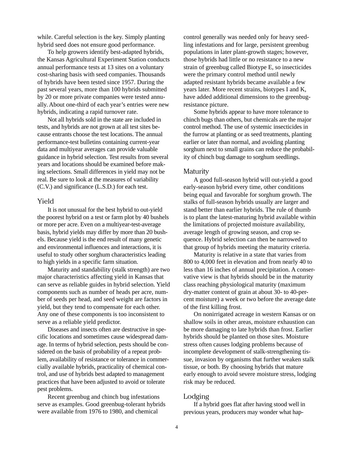while. Careful selection is the key. Simply planting hybrid seed does not ensure good performance.

To help growers identify best-adapted hybrids, the Kansas Agricultural Experiment Station conducts annual performance tests at 13 sites on a voluntary cost-sharing basis with seed companies. Thousands of hybrids have been tested since 1957. During the past several years, more than 100 hybrids submitted by 20 or more private companies were tested annually. About one-third of each year's entries were new hybrids, indicating a rapid turnover rate.

Not all hybrids sold in the state are included in tests, and hybrids are not grown at all test sites because entrants choose the test locations. The annual performance-test bulletins containing current-year data and multiyear averages can provide valuable guidance in hybrid selection. Test results from several years and locations should be examined before making selections. Small differences in yield may not be real. Be sure to look at the measures of variability (C.V.) and significance (L.S.D.) for each test.

### Yield

It is not unusual for the best hybrid to out-yield the poorest hybrid on a test or farm plot by 40 bushels or more per acre. Even on a multiyear-test-average basis, hybrid yields may differ by more than 20 bushels. Because yield is the end result of many genetic and environmental influences and interactions, it is useful to study other sorghum characteristics leading to high yields in a specific farm situation.

Maturity and standability (stalk strength) are two major characteristics affecting yield in Kansas that can serve as reliable guides in hybrid selection. Yield components such as number of heads per acre, number of seeds per head, and seed weight are factors in yield, but they tend to compensate for each other. Any one of these components is too inconsistent to serve as a reliable yield predictor.

Diseases and insects often are destructive in specific locations and sometimes cause widespread damage. In terms of hybrid selection, pests should be considered on the basis of probability of a repeat problem, availability of resistance or tolerance in commercially available hybrids, practicality of chemical control, and use of hybrids best adapted to management practices that have been adjusted to avoid or tolerate pest problems.

Recent greenbug and chinch bug infestations serve as examples. Good greenbug-tolerant hybrids were available from 1976 to 1980, and chemical

control generally was needed only for heavy seedling infestations and for large, persistent greenbug populations in later plant-growth stages; however, those hybrids had little or no resistance to a new strain of greenbug called Biotype E, so insecticides were the primary control method until newly adapted resistant hybrids became available a few years later. More recent strains, biotypes I and K, have added additional dimensions to the greenbugresistance picture.

Some hybrids appear to have more tolerance to chinch bugs than others, but chemicals are the major control method. The use of systemic insecticides in the furrow at planting or as seed treatments, planting earlier or later than normal, and avoiding planting sorghum next to small grains can reduce the probability of chinch bug damage to sorghum seedlings.

### Maturity

A good full-season hybrid will out-yield a good early-season hybrid every time, other conditions being equal and favorable for sorghum growth. The stalks of full-season hybrids usually are larger and stand better than earlier hybrids. The rule of thumb is to plant the latest-maturing hybrid available within the limitations of projected moisture availability, average length of growing season, and crop sequence. Hybrid selection can then be narrowed to that group of hybrids meeting the maturity criteria.

Maturity is relative in a state that varies from 800 to 4,000 feet in elevation and from nearly 40 to less than 16 inches of annual precipitation. A conservative view is that hybrids should be in the maturity class reaching physiological maturity (maximum dry-matter content of grain at about 30- to 40-percent moisture) a week or two before the average date of the first killing frost.

On nonirrigated acreage in western Kansas or on shallow soils in other areas, moisture exhaustion can be more damaging to late hybrids than frost. Earlier hybrids should be planted on those sites. Moisture stress often causes lodging problems because of incomplete development of stalk-strengthening tissue, invasion by organisms that further weaken stalk tissue, or both. By choosing hybrids that mature early enough to avoid severe moisture stress, lodging risk may be reduced.

### Lodging

If a hybrid goes flat after having stood well in previous years, producers may wonder what hap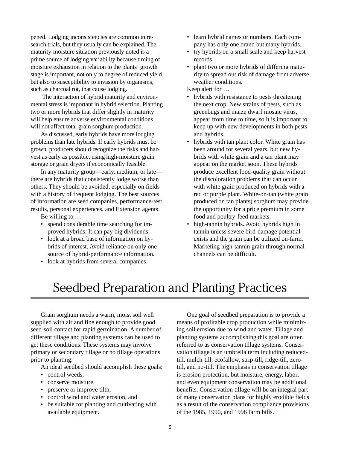pened. Lodging inconsistencies are common in research trials, but they usually can be explained. The maturity-moisture situation previously noted is a prime source of lodging variability because timing of moisture exhaustion in relation to the plants' growth stage is important, not only to degree of reduced yield but also to susceptibility to invasion by organisms, such as charcoal rot, that cause lodging.

 The interaction of hybrid maturity and environmental stress is important in hybrid selection. Planting two or more hybrids that differ slightly in maturity will help ensure adverse environmental conditions will not affect total grain sorghum production.

As discussed, early hybrids have more lodging problems than late hybrids. If early hybrids must be grown, producers should recognize the risks and harvest as early as possible, using high-moisture grain storage or grain dryers if economically feasible.

In any maturity group—early, medium, or late there are hybrids that consistently lodge worse than others. They should be avoided, especially on fields with a history of frequent lodging. The best sources of information are seed companies, performance-test results, personal experiences, and Extension agents.

Be willing to …

- spend considerable time searching for improved hybrids. It can pay big dividends.
- look at a broad base of information on hybrids of interest. Avoid reliance on only one source of hybrid-performance information.
- look at hybrids from several companies.
- learn hybrid names or numbers. Each company has only one brand but many hybrids.
- try hybrids on a small scale and keep harvest records.
- plant two or more hybrids of differing maturity to spread out risk of damage from adverse weather conditions.

Keep alert for …

- hybrids with resistance to pests threatening the next crop. New strains of pests, such as greenbugs and maize dwarf mosaic virus, appear from time to time, so it is important to keep up with new developments in both pests and hybrids.
- hybrids with tan plant color. White grain has been around for several years, but new hybrids with white grain and a tan plant may appear on the market soon. These hybrids produce excellent food-quality grain without the discoloration problems that can occur with white grain produced on hybrids with a red or purple plant. White-on-tan (white grain produced on tan plants) sorghum may provide the opportunity for a price premium in some food and poultry-feed markets.
- high-tannin hybrids. Avoid hybrids high in tannin unless severe bird-damage potential exists and the grain can be utilized on-farm. Marketing high-tannin grain through normal channels can be difficult.

# Seedbed Preparation and Planting Practices

Grain sorghum needs a warm, moist soil well supplied with air and fine enough to provide good seed-soil contact for rapid germination. A number of different tillage and planting systems can be used to get these conditions. These systems may involve primary or secondary tillage or no tillage operations prior to planting.

An ideal seedbed should accomplish these goals:

- control weeds,
- conserve moisture,
- preserve or improve tilth,
- control wind and water erosion, and
- be suitable for planting and cultivating with available equipment.

One goal of seedbed preparation is to provide a means of profitable crop production while minimizing soil erosion due to wind and water. Tillage and planting systems accomplishing this goal are often referred to as conservation tillage systems. Conservation tillage is an umbrella term including reducedtill, mulch-till, ecofallow, strip-till, ridge-till, zerotill, and no-till. The emphasis in conservation tillage is erosion protection, but moisture, energy, labor, and even equipment conservation may be additional benefits. Conservation tillage will be an integral part of many conservation plans for highly erodible fields as a result of the conservation compliance provisions of the 1985, 1990, and 1996 farm bills.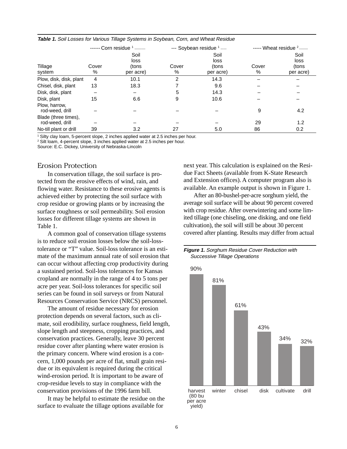|                                         | ------ Corn residue $1$ -------- |                                    |                | --- Soybean residue 1 -----        |            | $---$ Wheat residue $2$ $---$      |  |
|-----------------------------------------|----------------------------------|------------------------------------|----------------|------------------------------------|------------|------------------------------------|--|
| Tillage<br>system                       | Cover<br>%                       | Soil<br>loss<br>(tons<br>per acre) | Cover<br>℅     | Soil<br>loss<br>(tons<br>per acre) | Cover<br>% | Soil<br>loss<br>(tons<br>per acre) |  |
| Plow, disk, disk, plant                 | 4                                | 10.1                               | $\overline{2}$ | 14.3                               |            |                                    |  |
| Chisel, disk, plant                     | 13                               | 18.3                               |                | 9.6                                |            |                                    |  |
| Disk, disk, plant                       |                                  | —                                  | 5              | 14.3                               |            |                                    |  |
| Disk, plant                             | 15                               | 6.6                                | 9              | 10.6                               |            |                                    |  |
| Plow, harrow,<br>rod-weed, drill        |                                  |                                    |                |                                    | 9          | 4.2                                |  |
| Blade (three times),<br>rod-weed, drill |                                  |                                    |                |                                    | 29         | 1.2                                |  |
| No-till plant or drill                  | 39                               | 3.2                                | 27             | 5.0                                | 86         | 0.2                                |  |

**Table 1.** Soil Losses for Various Tillage Systems in Soybean, Corn, and Wheat Residue

1 Silty clay loam, 5-percent slope, 2 inches applied water at 2.5 inches per hour.

2 Silt loam, 4-percent slope, 3 inches applied water at 2.5 inches per hour.

Source: E.C. Dickey, University of Nebraska-Lincoln

### Erosion Protection

In conservation tillage, the soil surface is protected from the erosive effects of wind, rain, and flowing water. Resistance to these erosive agents is achieved either by protecting the soil surface with crop residue or growing plants or by increasing the surface roughness or soil permeability. Soil erosion losses for different tillage systems are shown in Table 1.

A common goal of conservation tillage systems is to reduce soil erosion losses below the soil-losstolerance or "T" value. Soil-loss tolerance is an estimate of the maximum annual rate of soil erosion that can occur without affecting crop productivity during a sustained period. Soil-loss tolerances for Kansas cropland are normally in the range of 4 to 5 tons per acre per year. Soil-loss tolerances for specific soil series can be found in soil surveys or from Natural Resources Conservation Service (NRCS) personnel.

The amount of residue necessary for erosion protection depends on several factors, such as climate, soil erodibility, surface roughness, field length, slope length and steepness, cropping practices, and conservation practices. Generally, leave 30 percent residue cover after planting where water erosion is the primary concern. Where wind erosion is a concern, 1,000 pounds per acre of flat, small grain residue or its equivalent is required during the critical wind-erosion period. It is important to be aware of crop-residue levels to stay in compliance with the conservation provisions of the 1996 farm bill.

It may be helpful to estimate the residue on the surface to evaluate the tillage options available for

next year. This calculation is explained on the Residue Fact Sheets (available from K-State Research and Extension offices). A computer program also is available. An example output is shown in Figure 1.

After an 80-bushel-per-acre sorghum yield, the average soil surface will be about 90 percent covered with crop residue. After overwintering and some limited tillage (one chiseling, one disking, and one field cultivation), the soil will still be about 30 percent covered after planting. Results may differ from actual

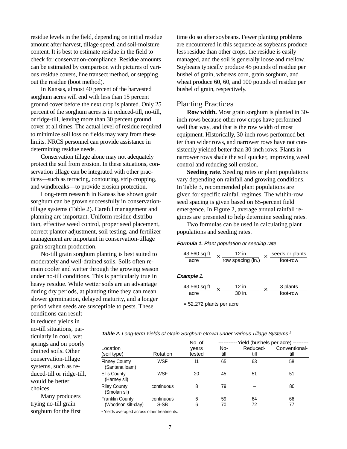residue levels in the field, depending on initial residue amount after harvest, tillage speed, and soil-moisture content. It is best to estimate residue in the field to check for conservation-compliance. Residue amounts can be estimated by comparison with pictures of various residue covers, line transect method, or stepping out the residue (boot method).

In Kansas, almost 40 percent of the harvested sorghum acres will end with less than 15 percent ground cover before the next crop is planted. Only 25 percent of the sorghum acres is in reduced-till, no-till, or ridge-till, leaving more than 30 percent ground cover at all times. The actual level of residue required to minimize soil loss on fields may vary from these limits. NRCS personnel can provide assistance in determining residue needs.

Conservation tillage alone may not adequately protect the soil from erosion. In these situations, conservation tillage can be integrated with other practices—such as terracing, contouring, strip cropping, and windbreaks—to provide erosion protection.

Long-term research in Kansas has shown grain sorghum can be grown successfully in conservationtillage systems (Table 2). Careful management and planning are important. Uniform residue distribution, effective weed control, proper seed placement, correct planter adjustment, soil testing, and fertilizer management are important in conservation-tillage grain sorghum production.

No-till grain sorghum planting is best suited to moderately and well-drained soils. Soils often remain cooler and wetter through the growing season under no-till conditions. This is particularly true in heavy residue. While wetter soils are an advantage during dry periods, at planting time they can mean slower germination, delayed maturity, and a longer period when seeds are susceptible to pests. These

time do so after soybeans. Fewer planting problems are encountered in this sequence as soybeans produce less residue than other crops, the residue is easily managed, and the soil is generally loose and mellow. Soybeans typically produce 45 pounds of residue per bushel of grain, whereas corn, grain sorghum, and wheat produce 60, 60, and 100 pounds of residue per bushel of grain, respectively.

### Planting Practices

**Row width.** Most grain sorghum is planted in 30 inch rows because other row crops have performed well that way, and that is the row width of most equipment. Historically, 30-inch rows performed better than wider rows, and narrower rows have not consistently yielded better than 30-inch rows. Plants in narrower rows shade the soil quicker, improving weed control and reducing soil erosion.

**Seeding rate.** Seeding rates or plant populations vary depending on rainfall and growing conditions. In Table 3, recommended plant populations are given for specific rainfall regimes. The within-row seed spacing is given based on 65-percent field emergence. In Figure 2, average annual rainfall regimes are presented to help determine seeding rates.

Two formulas can be used in calculating plant populations and seeding rates.

#### **Formula 1.** Plant population or seeding rate

$$
\frac{43,560 \text{ sq.fit.}}{\text{acre}} \times \frac{12 \text{ in.}}{\text{row spacing (in.)}} \times \frac{\text{seeds or plants}}{\text{foot-row}}
$$

#### **Example 1.**

| 43,560 sq.ft. | 12 in  | 3 plants |
|---------------|--------|----------|
| acre          | 30 in. | foot-row |

= 52,272 plants per acre

conditions can result in reduced yields in no-till situations, particularly in cool, wet springs and on poorly drained soils. Other conservation-tillage systems, such as reduced-till or ridge-till, would be better choices.

Many producers trying no-till grain sorghum for the first

| <b>Table 2.</b> Long-term Yields of Grain Sorghum Grown under Various Tillage Systems 1 |  |  |
|-----------------------------------------------------------------------------------------|--|--|
|-----------------------------------------------------------------------------------------|--|--|

|                                        |                    | No. of          |             |                  | Yield (bushels per acre) --------- |
|----------------------------------------|--------------------|-----------------|-------------|------------------|------------------------------------|
| Location<br>(soil type)                | Rotation           | years<br>tested | No-<br>till | Reduced-<br>till | Conventional-<br>till              |
| <b>Finney County</b><br>(Santana loam) | WSF                | 11              | 65          | 63               | 58                                 |
| <b>Ellis County</b><br>(Harney sil)    | WSF                | 20              | 45          | 51               | 51                                 |
| <b>Riley County</b><br>(Smolan sil)    | continuous         | 8               | 79          |                  | 80                                 |
| Franklin County<br>(Woodson silt-clay) | continuous<br>S-SB | 6<br>6          | 59<br>70    | 64<br>72         | 66<br>77                           |

<sup>1</sup> Yields averaged across other treatments.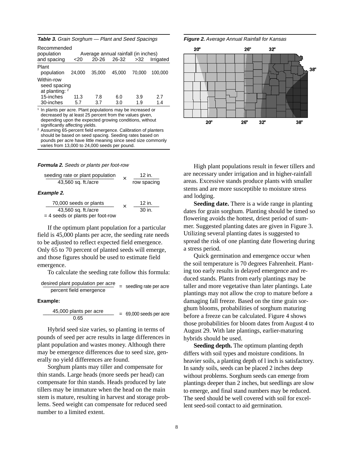| Recommended<br>population<br>and spacing       | $<$ 20 | 20-26  | Average annual rainfall (in inches)<br>26-32 | >32    | Irrigated |
|------------------------------------------------|--------|--------|----------------------------------------------|--------|-----------|
| Plant<br>population                            | 24,000 | 35,000 | 45.000                                       | 70.000 | 100.000   |
| Within-row<br>seed spacing<br>at planting: $2$ |        |        |                                              |        |           |
| 15-inches                                      | 11.3   | 7.8    | 6.0                                          | 3.9    | 2.7       |
| 30-inches                                      | 5.7    | 3.7    | 3.0                                          | 1.9    | 1.4       |

**Table 3.** Grain Sorghum — Plant and Seed Spacings

In plants per acre. Plant populations may be increased or decreased by at least 25 percent from the values given, depending upon the expected growing conditions, without significantly affecting yields.

<sup>2</sup> Assuming 65-percent field emergence. Calibration of planters should be based on seed spacing. Seeding rates based on pounds per acre have little meaning since seed size commonly varies from 13,000 to 24,000 seeds per pound.

#### **Formula 2.** Seeds or plants per foot-row

| seeding rate or plant population |  | 12 in.      |
|----------------------------------|--|-------------|
| 43,560 sq. ft./acre              |  | row spacing |

#### **Example 2.**

| 70,000 seeds or plants             |  | $12$ in. |
|------------------------------------|--|----------|
| 43,560 sq. ft./acre                |  | 30 in.   |
| $=$ 4 seeds or plants per foot-row |  |          |

If the optimum plant population for a particular field is 45,000 plants per acre, the seeding rate needs to be adjusted to reflect expected field emergence. Only 65 to 70 percent of planted seeds will emerge, and those figures should be used to estimate field emergence.

To calculate the seeding rate follow this formula:

desired plant population per acre \_\_\_\_\_\_\_\_\_\_\_\_\_\_\_\_\_\_\_\_\_\_\_\_\_ <sup>=</sup> seedling rate per acre percent field emergence

**Example:**

$$
\frac{45,000 \text{ plants per acre}}{0.65} = 69,000 \text{ seeds per acre}
$$

Hybrid seed size varies, so planting in terms of pounds of seed per acre results in large differences in plant population and wastes money. Although there may be emergence differences due to seed size, generally no yield differences are found.

Sorghum plants may tiller and compensate for thin stands. Large heads (more seeds per head) can compensate for thin stands. Heads produced by late tillers may be immature when the head on the main stem is mature, resulting in harvest and storage problems. Seed weight can compensate for reduced seed number to a limited extent.





High plant populations result in fewer tillers and are necessary under irrigation and in higher-rainfall areas. Excessive stands produce plants with smaller stems and are more susceptible to moisture stress and lodging.

**Seeding date.** There is a wide range in planting dates for grain sorghum. Planting should be timed so flowering avoids the hottest, driest period of summer. Suggested planting dates are given in Figure 3. Utilizing several planting dates is suggested to spread the risk of one planting date flowering during a stress period.

Quick germination and emergence occur when the soil temperature is 70 degrees Fahrenheit. Planting too early results in delayed emergence and reduced stands. Plants from early plantings may be taller and more vegetative than later plantings. Late plantings may not allow the crop to mature before a damaging fall freeze. Based on the time grain sorghum blooms, probabilities of sorghum maturing before a freeze can be calculated. Figure 4 shows those probabilities for bloom dates from August 4 to August 29. With late plantings, earlier-maturing hybrids should be used.

**Seeding depth.** The optimum planting depth differs with soil types and moisture conditions. In heavier soils, a planting depth of l inch is satisfactory. In sandy soils, seeds can be placed 2 inches deep without problems. Sorghum seeds can emerge from plantings deeper than 2 inches, but seedlings are slow to emerge, and final stand numbers may be reduced. The seed should be well covered with soil for excellent seed-soil contact to aid germination.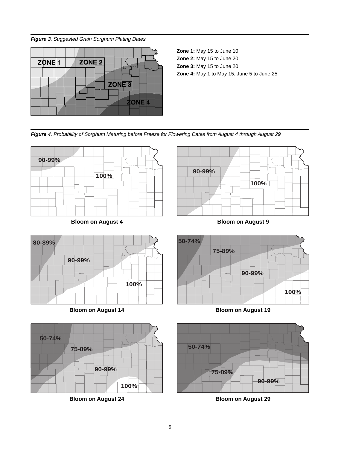**Figure 3.** Suggested Grain Sorghum Plating Dates



**Zone 1:** May 15 to June 10 **Zone 2:** May 15 to June 20 **Zone 3:** May 15 to June 20 **Zone 4:** May 1 to May 15, June 5 to June 25

**Figure 4.** Probability of Sorghum Maturing before Freeze for Flowering Dates from August 4 through August 29





**Bloom on August 4**





**Bloom on August 14**



**Bloom on August 24**



**Bloom on August 19**



**Bloom on August 29**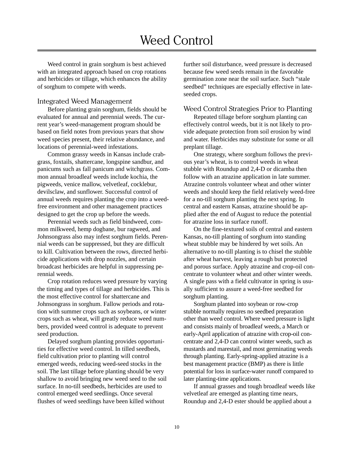# Weed Control

Weed control in grain sorghum is best achieved with an integrated approach based on crop rotations and herbicides or tillage, which enhances the ability of sorghum to compete with weeds.

#### Integrated Weed Management

Before planting grain sorghum, fields should be evaluated for annual and perennial weeds. The current year's weed-management program should be based on field notes from previous years that show weed species present, their relative abundance, and locations of perennial-weed infestations.

Common grassy weeds in Kansas include crabgrass, foxtails, shattercane, longspine sandbur, and panicums such as fall panicum and witchgrass. Common annual broadleaf weeds include kochia, the pigweeds, venice mallow, velvetleaf, cocklebur, devilsclaw, and sunflower. Successful control of annual weeds requires planting the crop into a weedfree environment and other management practices designed to get the crop up before the weeds.

Perennial weeds such as field bindweed, common milkweed, hemp dogbane, bur ragweed, and Johnsongrass also may infest sorghum fields. Perennial weeds can be suppressed, but they are difficult to kill. Cultivation between the rows, directed herbicide applications with drop nozzles, and certain broadcast herbicides are helpful in suppressing perennial weeds.

Crop rotation reduces weed pressure by varying the timing and types of tillage and herbicides. This is the most effective control for shattercane and Johnsongrass in sorghum. Fallow periods and rotation with summer crops such as soybeans, or winter crops such as wheat, will greatly reduce weed numbers, provided weed control is adequate to prevent seed production.

Delayed sorghum planting provides opportunities for effective weed control. In tilled seedbeds, field cultivation prior to planting will control emerged weeds, reducing weed-seed stocks in the soil. The last tillage before planting should be very shallow to avoid bringing new weed seed to the soil surface. In no-till seedbeds, herbicides are used to control emerged weed seedlings. Once several flushes of weed seedlings have been killed without

further soil disturbance, weed pressure is decreased because few weed seeds remain in the favorable germination zone near the soil surface. Such "stale seedbed" techniques are especially effective in lateseeded crops.

### Weed Control Strategies Prior to Planting

Repeated tillage before sorghum planting can effectively control weeds, but it is not likely to provide adequate protection from soil erosion by wind and water. Herbicides may substitute for some or all preplant tillage.

One strategy, where sorghum follows the previous year's wheat, is to control weeds in wheat stubble with Roundup and 2,4-D or dicamba then follow with an atrazine application in late summer. Atrazine controls volunteer wheat and other winter weeds and should keep the field relatively weed-free for a no-till sorghum planting the next spring. In central and eastern Kansas, atrazine should be applied after the end of August to reduce the potential for atrazine loss in surface runoff.

On the fine-textured soils of central and eastern Kansas, no-till planting of sorghum into standing wheat stubble may be hindered by wet soils. An alternative to no-till planting is to chisel the stubble after wheat harvest, leaving a rough but protected and porous surface. Apply atrazine and crop-oil concentrate to volunteer wheat and other winter weeds. A single pass with a field cultivator in spring is usually sufficient to assure a weed-free seedbed for sorghum planting.

Sorghum planted into soybean or row-crop stubble normally requires no seedbed preparation other than weed control. Where weed pressure is light and consists mainly of broadleaf weeds, a March or early-April application of atrazine with crop-oil concentrate and 2,4-D can control winter weeds, such as mustards and marestail, and most germinating weeds through planting. Early-spring-applied atrazine is a best management practice (BMP) as there is little potential for loss in surface-water runoff compared to later planting-time applications.

If annual grasses and tough broadleaf weeds like velvetleaf are emerged as planting time nears, Roundup and 2,4-D ester should be applied about a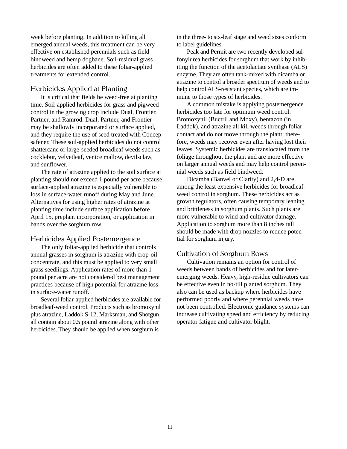week before planting. In addition to killing all emerged annual weeds, this treatment can be very effective on established perennials such as field bindweed and hemp dogbane. Soil-residual grass herbicides are often added to these foliar-applied treatments for extended control.

# Herbicides Applied at Planting

It is critical that fields be weed-free at planting time. Soil-applied herbicides for grass and pigweed control in the growing crop include Dual, Frontier, Partner, and Ramrod. Dual, Partner, and Frontier may be shallowly incorporated or surface applied, and they require the use of seed treated with Concep safener. These soil-applied herbicides do not control shattercane or large-seeded broadleaf weeds such as cocklebur, velvetleaf, venice mallow, devilsclaw, and sunflower.

The rate of atrazine applied to the soil surface at planting should not exceed 1 pound per acre because surface-applied atrazine is especially vulnerable to loss in surface-water runoff during May and June. Alternatives for using higher rates of atrazine at planting time include surface application before April 15, preplant incorporation, or application in bands over the sorghum row.

### Herbicides Applied Postemergence

The only foliar-applied herbicide that controls annual grasses in sorghum is atrazine with crop-oil concentrate, and this must be applied to very small grass seedlings. Application rates of more than 1 pound per acre are not considered best management practices because of high potential for atrazine loss in surface-water runoff.

Several foliar-applied herbicides are available for broadleaf-weed control. Products such as bromoxynil plus atrazine*,* Laddok S-12, Marksman, and Shotgun all contain about 0.5 pound atrazine along with other herbicides. They should be applied when sorghum is

in the three- to six-leaf stage and weed sizes conform to label guidelines.

Peak and Permit are two recently developed sulfonylurea herbicides for sorghum that work by inhibiting the function of the acetolactate synthase (ALS) enzyme. They are often tank-mixed with dicamba or atrazine to control a broader spectrum of weeds and to help control ALS-resistant species, which are immune to those types of herbicides.

A common mistake is applying postemergence herbicides too late for optimum weed control. Bromoxynil (Buctril and Moxy), bentazon (in Laddok), and atrazine all kill weeds through foliar contact and do not move through the plant; therefore, weeds may recover even after having lost their leaves. Systemic herbicides are translocated from the foliage throughout the plant and are more effective on larger annual weeds and may help control perennial weeds such as field bindweed.

Dicamba (Banvel or Clarity) and 2,4-D are among the least expensive herbicides for broadleafweed control in sorghum. These herbicides act as growth regulators, often causing temporary leaning and brittleness in sorghum plants. Such plants are more vulnerable to wind and cultivator damage. Application to sorghum more than 8 inches tall should be made with drop nozzles to reduce potential for sorghum injury.

### Cultivation of Sorghum Rows

Cultivation remains an option for control of weeds between bands of herbicides and for lateremerging weeds. Heavy, high-residue cultivators can be effective even in no-till planted sorghum. They also can be used as backup where herbicides have performed poorly and where perennial weeds have not been controlled. Electronic guidance systems can increase cultivating speed and efficiency by reducing operator fatigue and cultivator blight.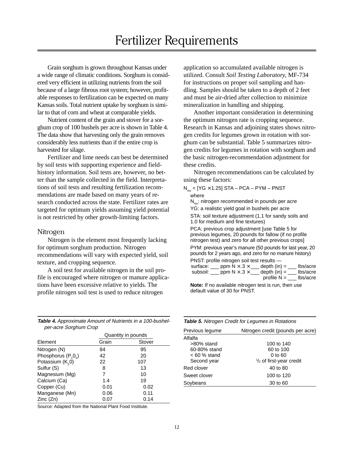# Fertilizer Requirements

Grain sorghum is grown throughout Kansas under a wide range of climatic conditions. Sorghum is considered very efficient in utilizing nutrients from the soil because of a large fibrous root system; however, profitable responses to fertilization can be expected on many Kansas soils. Total nutrient uptake by sorghum is similar to that of corn and wheat at comparable yields.

Nutrient content of the grain and stover for a sorghum crop of 100 bushels per acre is shown in Table 4. The data show that harvesting only the grain removes considerably less nutrients than if the entire crop is harvested for silage.

Fertilizer and lime needs can best be determined by soil tests with supporting experience and fieldhistory information. Soil tests are, however, no better than the sample collected in the field. Interpretations of soil tests and resulting fertilization recommendations are made based on many years of research conducted across the state. Fertilizer rates are targeted for optimum yields assuming yield potential is not restricted by other growth-limiting factors.

#### Nitrogen

Nitrogen is the element most frequently lacking for optimum sorghum production. Nitrogen recommendations will vary with expected yield, soil texture, and cropping sequence.

A soil test for available nitrogen in the soil profile is encouraged where nitrogen or manure applications have been excessive relative to yields. The profile nitrogen soil test is used to reduce nitrogen

**Table 4.** Approximate Amount of Nutrients in a 100-bushelper-acre Sorghum Crop

|                              | Quantity in pounds |        |  |
|------------------------------|--------------------|--------|--|
| Element                      | Grain              | Stover |  |
| Nitrogen (N)                 | 84                 | 95     |  |
| Phosphorus $(P_2O_5)$        | 42                 | 20     |  |
| Potassium (K <sub>2</sub> 0) | 22                 | 107    |  |
| Sulfur (S)                   | 8                  | 13     |  |
| Magnesium (Mg)               | 7                  | 10     |  |
| Calcium (Ca)                 | 1.4                | 19     |  |
| Copper (Cu)                  | 0.01               | 0.02   |  |
| Manganese (Mn)               | 0.06               | 0.11   |  |
| Zinc(Zn)                     | 0.07               | 0.14   |  |

Source: Adapted from the National Plant Food Institute.

application so accumulated available nitrogen is utilized. Consult *Soil Testing Laboratory,* MF-734 for instructions on proper soil sampling and handling. Samples should be taken to a depth of 2 feet and must be air-dried after collection to minimize mineralization in handling and shipping.

Another important consideration in determining the optimum nitrogen rate is cropping sequence. Research in Kansas and adjoining states shows nitrogen credits for legumes grown in rotation with sorghum can be substantial. Table 5 summarizes nitrogen credits for legumes in rotation with sorghum and the basic nitrogen-recommendation adjustment for these credits.

Nitrogen recommendations can be calculated by using these factors:

 $N_{rec}$  = [YG  $\times$  1.25] STA – PCA – PYM – PNST where

 $N_{\text{rec}}$ : nitrogen recommended in pounds per acre YG: a realistic yield goal in bushels per acre STA: soil texture adjustment (1.1 for sandy soils and 1.0 for medium and fine textures)

PCA: previous crop adjustment [use Table 5 for previous legumes, 20 pounds for fallow (if no profile nitrogen test) and zero for all other previous crops]

PYM: previous year's manure (50 pounds for last year, 20 pounds for 2 years ago, and zero for no manure history) PNST: profile nitrogen soil test results

|          | $\Gamma$ ino i. pronie mitogen soli test results — |                |          |
|----------|----------------------------------------------------|----------------|----------|
| surface: | ppm N $\times$ .3 $\times$                         | depth $(in) =$ | lbs/acre |
| subsoil: | ppm N $\times$ .3 $\times$                         | $depth (in) =$ | lbs/acre |
|          |                                                    | profile $N =$  | lbs/acre |

**Note:** If no available nitrogen test is run, then use default value of 30 for PNST.

|  |  | Table 5. Nitrogen Credit for Legumes in Rotations |
|--|--|---------------------------------------------------|
|  |  |                                                   |

| Previous legume | Nitrogen credit (pounds per acre)  |
|-----------------|------------------------------------|
| Alfalfa         |                                    |
| $>80\%$ stand   | 100 to 140                         |
| 60-80% stand    | 60 to 100                          |
| $< 60 %$ stand  | $0$ to $60$                        |
| Second year     | $\frac{1}{2}$ of first-year credit |
| Red clover      | 40 to 80                           |
| Sweet clover    | 100 to 120                         |
| Soybeans        | 30 to 60                           |
|                 |                                    |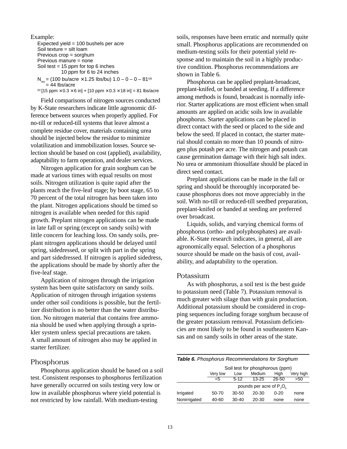```
Example:
   Expected yield = 100 bushels per acre
   Soil texture = silt loam
   Previous crop = sorghum
   Previous manure = none
   Soil test = 15 ppm for top 6 inches
              10 ppm for 6 to 24 inches
   N_{rec} = (100 bu/acre \times 1.25 lbs/bu) 1.0 – 0 – 0 – 81<sup>(a)</sup>
       = 44 lbs/acre
```
(a)  $[15 \text{ ppm} \times 0.3 \times 6 \text{ in}] + [10 \text{ ppm} \times 0.3 \times 18 \text{ in}] = 81 \text{ lbs/acre}$ 

Field comparisons of nitrogen sources conducted by K-State researchers indicate little agronomic difference between sources when properly applied. For no-till or reduced-till systems that leave almost a complete residue cover, materials containing urea should be injected below the residue to minimize volatilization and immobilization losses. Source selection should be based on cost (applied), availability, adaptability to farm operation, and dealer services.

Nitrogen application for grain sorghum can be made at various times with equal results on most soils. Nitrogen utilization is quite rapid after the plants reach the five-leaf stage; by boot stage, 65 to 70 percent of the total nitrogen has been taken into the plant. Nitrogen applications should be timed so nitrogen is available when needed for this rapid growth. Preplant nitrogen applications can be made in late fall or spring (except on sandy soils) with little concern for leaching loss. On sandy soils, preplant nitrogen applications should be delayed until spring, sidedressed, or split with part in the spring and part sidedressed. If nitrogen is applied sidedress, the applications should be made by shortly after the five-leaf stage.

Application of nitrogen through the irrigation system has been quite satisfactory on sandy soils. Application of nitrogen through irrigation systems under other soil conditions is possible, but the fertilizer distribution is no better than the water distribution. No nitrogen material that contains free ammonia should be used when applying through a sprinkler system unless special precautions are taken. A small amount of nitrogen also may be applied in starter fertilizer.

### Phosphorus

Phosphorus application should be based on a soil test. Consistent responses to phosphorus fertilization have generally occurred on soils testing very low or low in available phosphorus where yield potential is not restricted by low rainfall. With medium-testing

soils, responses have been erratic and normally quite small. Phosphorus applications are recommended on medium-testing soils for their potential yield response and to maintain the soil in a highly productive condition. Phosphorus recommendations are shown in Table 6.

Phosphorus can be applied preplant-broadcast, preplant-knifed, or banded at seeding. If a difference among methods is found, broadcast is normally inferior. Starter applications are most efficient when small amounts are applied on acidic soils low in available phosphorus. Starter applications can be placed in direct contact with the seed or placed to the side and below the seed. If placed in contact, the starter material should contain no more than 10 pounds of nitrogen plus potash per acre. The nitrogen and potash can cause germination damage with their high salt index. No urea or ammonium thiosulfate should be placed in direct seed contact.

Preplant applications can be made in the fall or spring and should be thoroughly incorporated because phosphorus does not move appreciably in the soil. With no-till or reduced-till seedbed preparation, preplant-knifed or banded at seeding are preferred over broadcast.

Liquids, solids, and varying chemical forms of phosphorus (ortho- and polyphosphates) are available. K-State research indicates, in general, all are agronomically equal. Selection of a phosphorus source should be made on the basis of cost, availability, and adaptability to the operation.

### Potassium

As with phosphorus, a soil test is the best guide to potassium need (Table 7). Potassium removal is much greater with silage than with grain production. Additional potassium should be considered in cropping sequences including forage sorghum because of the greater potassium removal. Potassium deficiencies are most likely to be found in southeastern Kansas and on sandy soils in other areas of the state.

| <b>Table 6.</b> Phosphorus Recommendations for Sorghum |                                 |         |           |          |           |
|--------------------------------------------------------|---------------------------------|---------|-----------|----------|-----------|
|                                                        | Soil test for phosphorous (ppm) |         |           |          |           |
|                                                        | Very low                        | Low     | Medium    | High     | Very high |
|                                                        | <5                              | $5-12$  | $13 - 25$ | 26-50    | >50       |
| pounds per acre of $P_1O_6$                            |                                 |         |           |          |           |
| Irrigated                                              | 50-70                           | 30-50   | 20-30     | $0 - 20$ | none      |
| Nonirrigated                                           | 40-60                           | $30-40$ | 20-30     | none     | none      |
|                                                        |                                 |         |           |          |           |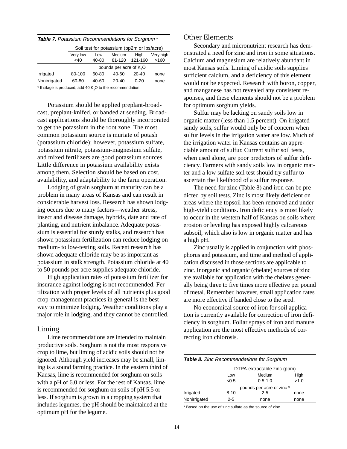|              |                                     |       | Soil test for potassium (pp2m or lbs/acre) |           |           |
|--------------|-------------------------------------|-------|--------------------------------------------|-----------|-----------|
|              | Very low                            | Low   | Medium                                     | Hiah      | Very high |
|              | $<$ 40                              | 40-80 | 81-120                                     | 121-160   | >160      |
|              | pounds per acre of K <sub>2</sub> O |       |                                            |           |           |
| Irrigated    | 80-100                              | 60-80 | 40-60                                      | $20 - 40$ | none      |
| Nonirrigated | 60-80                               | 40-60 | $20 - 40$                                  | $0 - 20$  | none      |
|              |                                     |       |                                            |           |           |

 $*$  If silage is produced, add 40 K<sub>2</sub>O to the recommendation.

Potassium should be applied preplant-broadcast, preplant-knifed, or banded at seeding. Broadcast applications should be thoroughly incorporated to get the potassium in the root zone. The most common potassium source is muriate of potash (potassium chloride); however, potassium sulfate, potassium nitrate, potassium-magnesium sulfate, and mixed fertilizers are good potassium sources. Little difference in potassium availability exists among them. Selection should be based on cost, availability, and adaptability to the farm operation.

Lodging of grain sorghum at maturity can be a problem in many areas of Kansas and can result in considerable harvest loss. Research has shown lodging occurs due to many factors—weather stress, insect and disease damage, hybrids, date and rate of planting, and nutrient imbalance. Adequate potassium is essential for sturdy stalks, and research has shown potassium fertilization can reduce lodging on medium- to low-testing soils. Recent research has shown adequate chloride may be as important as potassium in stalk strength. Potassium chloride at 40 to 50 pounds per acre supplies adequate chloride.

High application rates of potassium fertilizer for insurance against lodging is not recommended. Fertilization with proper levels of all nutrients plus good crop-management practices in general is the best way to minimize lodging. Weather conditions play a major role in lodging, and they cannot be controlled.

### Liming

Lime recommendations are intended to maintain productive soils. Sorghum is not the most responsive crop to lime, but liming of acidic soils should not be ignored. Although yield increases may be small, liming is a sound farming practice. In the eastern third of Kansas, lime is recommended for sorghum on soils with a pH of 6.0 or less. For the rest of Kansas, lime is recommended for sorghum on soils of pH 5.5 or less. If sorghum is grown in a cropping system that includes legumes, the pH should be maintained at the optimum pH for the legume.

### Other Elements

Secondary and micronutrient research has demonstrated a need for zinc and iron in some situations. Calcium and magnesium are relatively abundant in most Kansas soils. Liming of acidic soils supplies sufficient calcium, and a deficiency of this element would not be expected. Research with boron, copper, and manganese has not revealed any consistent responses, and these elements should not be a problem for optimum sorghum yields.

Sulfur may be lacking on sandy soils low in organic matter (less than 1.5 percent). On irrigated sandy soils, sulfur would only be of concern when sulfur levels in the irrigation water are low. Much of the irrigation water in Kansas contains an appreciable amount of sulfur. Current sulfur soil tests, when used alone, are poor predictors of sulfur deficiency. Farmers with sandy soils low in organic matter and a low sulfate soil test should try sulfur to ascertain the likelihood of a sulfur response.

The need for zinc (Table 8) and iron can be predicted by soil tests. Zinc is most likely deficient on areas where the topsoil has been removed and under high-yield conditions. Iron deficiency is most likely to occur in the western half of Kansas on soils where erosion or leveling has exposed highly calcareous subsoil, which also is low in organic matter and has a high pH.

Zinc usually is applied in conjunction with phosphorus and potassium, and time and method of application discussed in those sections are applicable to zinc. Inorganic and organic (chelate) sources of zinc are available for application with the chelates generally being three to five times more effective per pound of metal. Remember, however, small application rates are more effective if banded close to the seed.

No economical source of iron for soil application is currently available for correction of iron deficiency in sorghum. Foliar sprays of iron and manure application are the most effective methods of correcting iron chlorosis.

| <b>Table 8.</b> Zinc Recommendations for Sorghum |          |                             |      |  |  |
|--------------------------------------------------|----------|-----------------------------|------|--|--|
|                                                  |          | DTPA-extractable zinc (ppm) |      |  |  |
|                                                  | Low      | Medium                      | High |  |  |
|                                                  | <0.5     | $0.5 - 1.0$                 | >1.0 |  |  |
| pounds per acre of zinc *                        |          |                             |      |  |  |
| Irrigated                                        | $8 - 10$ | $2 - 5$                     | none |  |  |
| Nonirrigated                                     | $2 - 5$  | none                        | none |  |  |

\* Based on the use of zinc sulfate as the source of zinc.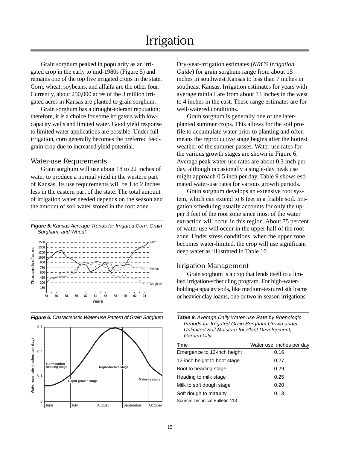# Irrigation

Grain sorghum peaked in popularity as an irrigated crop in the early to mid-1980s (Figure 5) and remains one of the top five irrigated crops in the state. Corn, wheat, soybeans, and alfalfa are the other four. Currently, about 250,000 acres of the 3 million irrigated acres in Kansas are planted to grain sorghum.

Grain sorghum has a drought-tolerant reputation; therefore, it is a choice for some irrigators with lowcapacity wells and limited water. Good yield response to limited water applications are possible. Under full irrigation, corn generally becomes the preferred feedgrain crop due to increased yield potential.

#### Water-use Requirements

Grain sorghum will use about 18 to 22 inches of water to produce a normal yield in the western part of Kansas. Its use requirements will be 1 to 2 inches less in the eastern part of the state. The total amount of irrigation water needed depends on the season and the amount of soil water stored in the root zone.





**Figure 6.** Characteristic Water-use Pattern of Grain Sorghum

Dry-year-irrigation estimates (*NRCS Irrigation Guide*) for grain sorghum range from about 15 inches in southwest Kansas to less than 7 inches in southeast Kansas. Irrigation estimates for years with average rainfall are from about 13 inches in the west to 4 inches in the east. These range estimates are for well-watered conditions.

Grain sorghum is generally one of the laterplanted summer crops. This allows for the soil profile to accumulate water prior to planting and often means the reproductive stage begins after the hottest weather of the summer passes. Water-use rates for the various growth stages are shown in Figure 6. Average peak water-use rates are about 0.3 inch per day, although occasionally a single-day peak use might approach 0.5 inch per day. Table 9 shows estimated water-use rates for various growth periods.

Grain sorghum develops an extensive root system, which can extend to 6 feet in a friable soil. Irrigation scheduling usually accounts for only the upper 3 feet of the root zone since most of the water extraction will occur in this region. About 75 percent of water use will occur in the upper half of the root zone. Under stress conditions, when the upper zone becomes water-limited, the crop will use significant deep water as illustrated in Table 10.

#### Irrigation Management

Grain sorghum is a crop that lends itself to a limited irrigation-scheduling program. For high-waterholding-capacity soils, like medium-textured silt loams or heavier clay loams, one or two in-season irrigations

| <b>Table 9.</b> Average Daily Water-use Rate by Phenologic |  |
|------------------------------------------------------------|--|
| Periods for Irrigated Grain Sorghum Grown under            |  |
| Unlimited Soil Moisture for Plant Development,             |  |
| Garden City                                                |  |
|                                                            |  |

| Time                           | Water use, inches per day |
|--------------------------------|---------------------------|
| Emergence to 12-inch height    | 0.16                      |
| 12-inch height to boot stage   | 0.27                      |
| Boot to heading stage          | 0.29                      |
| Heading to milk stage          | 0.25                      |
| Milk to soft dough stage       | 0.20                      |
| Soft dough to maturity         | 0.13                      |
| Source: Technical Bulletin 113 |                           |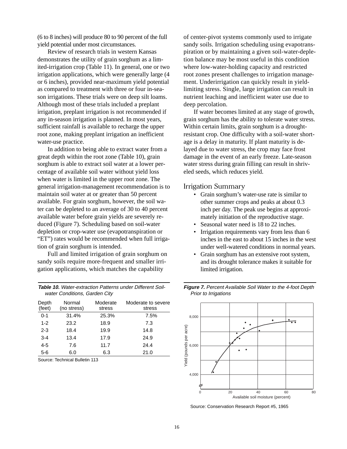(6 to 8 inches) will produce 80 to 90 percent of the full yield potential under most circumstances.

Review of research trials in western Kansas demonstrates the utility of grain sorghum as a limited-irrigation crop (Table 11). In general, one or two irrigation applications, which were generally large (4 or 6 inches), provided near-maximum yield potential as compared to treatment with three or four in-season irrigations. These trials were on deep silt loams. Although most of these trials included a preplant irrigation, preplant irrigation is not recommended if any in-season irrigation is planned. In most years, sufficient rainfall is available to recharge the upper root zone, making preplant irrigation an inefficient water-use practice.

In addition to being able to extract water from a great depth within the root zone (Table 10), grain sorghum is able to extract soil water at a lower percentage of available soil water without yield loss when water is limited in the upper root zone. The general irrigation-management recommendation is to maintain soil water at or greater than 50 percent available. For grain sorghum, however, the soil water can be depleted to an average of 30 to 40 percent available water before grain yields are severely reduced (Figure 7). Scheduling based on soil-water depletion or crop-water use (evapotranspiration or "ET") rates would be recommended when full irrigation of grain sorghum is intended.

Full and limited irrigation of grain sorghum on sandy soils require more-frequent and smaller irrigation applications, which matches the capability

**Table 10.** Water-extraction Patterns under Different Soilwater Conditions, Garden City

| Depth<br>(feet) | Normal<br>(no stress) | Moderate<br>stress | Moderate to severe<br>stress |
|-----------------|-----------------------|--------------------|------------------------------|
| $0 - 1$         | 31.4%                 | 25.3%              | 7.5%                         |
| $1 - 2$         | 23.2                  | 18.9               | 7.3                          |
| $2 - 3$         | 18.4                  | 19.9               | 14.8                         |
| $3 - 4$         | 13.4                  | 17.9               | 24.9                         |
| $4 - 5$         | 7.6                   | 11.7               | 24.4                         |
| $5-6$           | 6.0                   | 6.3                | 21.0                         |

Source: Technical Bulletin 113

of center-pivot systems commonly used to irrigate sandy soils. Irrigation scheduling using evapotranspiration or by maintaining a given soil-water-depletion balance may be most useful in this condition where low-water-holding capacity and restricted root zones present challenges to irrigation management. Underirrigation can quickly result in yieldlimiting stress. Single, large irrigation can result in nutrient leaching and inefficient water use due to deep percolation.

If water becomes limited at any stage of growth, grain sorghum has the ability to tolerate water stress. Within certain limits, grain sorghum is a droughtresistant crop. One difficulty with a soil-water shortage is a delay in maturity. If plant maturity is delayed due to water stress, the crop may face frost damage in the event of an early freeze. Late-season water stress during grain filling can result in shriveled seeds, which reduces yield.

### Irrigation Summary

- Grain sorghum's water-use rate is similar to other summer crops and peaks at about 0.3 inch per day. The peak use begins at approximately initiation of the reproductive stage.
- Seasonal water need is 18 to 22 inches.
- Irrigation requirements vary from less than 6 inches in the east to about 15 inches in the west under well-watered conditions in normal years.
- Grain sorghum has an extensive root system, and its drought tolerance makes it suitable for limited irrigation.



**Figure 7.** Percent Available Soil Water to the 4-foot Depth Prior to Irrigations

Source: Conservation Research Report #5, 1965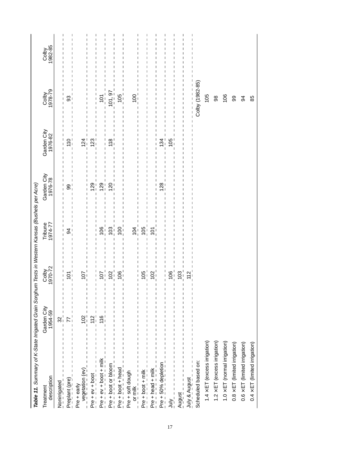| Table 11. Summary of K-State Irrigated Grain Sorghum Tests in Western Kansas (Bushels per Acre) |                                        |                    |                    |                        |                                      |                                               |                  |
|-------------------------------------------------------------------------------------------------|----------------------------------------|--------------------|--------------------|------------------------|--------------------------------------|-----------------------------------------------|------------------|
| description<br>Treatment                                                                        | Garden City<br>1954-59                 | 1970-72<br>Colby   | Tribune<br>1974-77 | Garden City<br>1976-78 | Garden City<br>1976-82               | Colby<br>1978-79                              | Colby<br>1982-85 |
| Nonirrigated<br>$   -$                                                                          | $\mathfrak{A}^{\scriptscriptstyle{+}}$ | ı                  | I                  | ı                      |                                      |                                               |                  |
| Preplant (pre)                                                                                  |                                        | 5                  | \$                 | တ<br>თ                 | 0<br>Ë                               | 33                                            |                  |
| Pre + early<br>__ vegetation (ev)<br>_ _ _ _ _ _ _                                              | $102 -$                                | ic                 |                    |                        | $\overline{2}$                       |                                               |                  |
| Pre + ev + boot _ _ _ _                                                                         |                                        |                    |                    | တ                      | ო<br>$\mathbf{\sim}$                 |                                               |                  |
| Pre + ev + boot + milk                                                                          | $\frac{1}{2}$                          | ○                  |                    | σ                      |                                      | 5                                             |                  |
| Pre + boot or bloom $-$                                                                         |                                        |                    | ဒ                  | ຊ                      | $\infty$<br>$\overline{\phantom{0}}$ | $\frac{2}{9}$                                 |                  |
| Pre + boot + head                                                                               |                                        |                    | 8                  |                        |                                      | $\overline{5}$                                |                  |
|                                                                                                 |                                        |                    | 104                |                        |                                      | 100                                           |                  |
| Pre + boot + milk _                                                                             |                                        | 95                 | $\overline{6}$     |                        |                                      |                                               |                  |
| Pre + head + milk                                                                               |                                        | 0                  | 5                  |                        |                                      |                                               |                  |
| $\mathsf I$<br>Pre + 50% depletion                                                              |                                        |                    |                    | ∞<br>∾                 | 34                                   |                                               |                  |
| $\frac{1}{1}$<br>$\frac{\sum_{i=1}^{n}}{n}$                                                     |                                        | 80                 |                    |                        | $\frac{5}{10}$                       |                                               |                  |
| August                                                                                          |                                        | 3                  |                    |                        |                                      | I<br>$\overline{\phantom{a}}$<br>$\mathsf{l}$ |                  |
| $\begin{array}{c} 1 \\ 1 \\ 1 \end{array}$<br>$July & August \_ 2 - - 2 = -$                    |                                        | $\scriptstyle\sim$ |                    |                        |                                      |                                               |                  |
| Scheduled based on:                                                                             |                                        |                    |                    |                        |                                      | Colby (1982-85)                               |                  |
| $1.4 \times ET$ (excess irrigation)                                                             |                                        |                    |                    |                        |                                      | 105                                           |                  |
| $1.2 \times ET$ (excess irrigation)                                                             |                                        |                    |                    |                        |                                      | 98                                            |                  |
| $1.0 \times ET$ (normal irrigation)                                                             |                                        |                    |                    |                        |                                      | 106                                           |                  |
| $0.8 \times ET$ (limited irrigation)                                                            |                                        |                    |                    |                        |                                      | 8                                             |                  |
| $0.6 \times ET$ (limited irrigation)                                                            |                                        |                    |                    |                        |                                      | 34                                            |                  |
| $0.4 \times ET$ (limited irrigation)                                                            |                                        |                    |                    |                        |                                      | 85                                            |                  |
|                                                                                                 |                                        |                    |                    |                        |                                      |                                               |                  |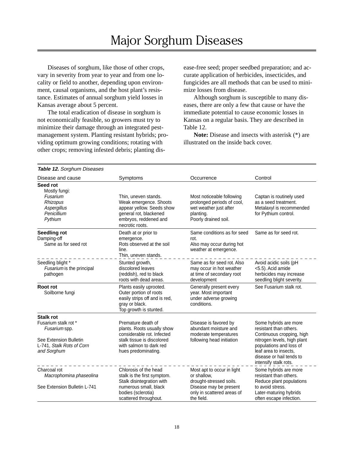# Major Sorghum Diseases

Diseases of sorghum, like those of other crops, vary in severity from year to year and from one locality or field to another, depending upon environment, causal organisms, and the host plant's resistance. Estimates of annual sorghum yield losses in Kansas average about 5 percent.

The total eradication of disease in sorghum is not economically feasible, so growers must try to minimize their damage through an integrated pestmanagement system. Planting resistant hybrids; providing optimum growing conditions; rotating with other crops; removing infested debris; planting disease-free seed; proper seedbed preparation; and accurate application of herbicides, insecticides, and fungicides are all methods that can be used to minimize losses from disease.

Although sorghum is susceptible to many diseases, there are only a few that cause or have the immediate potential to cause economic losses in Kansas on a regular basis. They are described in Table 12.

**Note:** Disease and insects with asterisk (\*) are illustrated on the inside back cover.

| Table 12. Sorghum Diseases                                                                 |                                                                                                                                                   |                                                                                                                        |                                                                                                                                      |
|--------------------------------------------------------------------------------------------|---------------------------------------------------------------------------------------------------------------------------------------------------|------------------------------------------------------------------------------------------------------------------------|--------------------------------------------------------------------------------------------------------------------------------------|
| Disease and cause                                                                          | Symptoms                                                                                                                                          | Occurrence                                                                                                             | Control                                                                                                                              |
| Seed rot<br>Mostly fungi:<br>Fusarium<br>Rhizopus<br>Aspergillus<br>Penicillium<br>Pythium | Thin, uneven stands.<br>Weak emergence. Shoots<br>appear yellow. Seeds show<br>general rot, blackened<br>embryos, reddened and<br>necrotic roots. | Most noticeable following<br>prolonged periods of cool,<br>wet weather just after<br>planting.<br>Poorly drained soil. | Captan is routinely used<br>as a seed treatment.<br>Metalaxyl is recommended<br>for Pythium control.                                 |
| <b>Seedling rot</b><br>Damping-off<br>Same as for seed rot                                 | Death at or prior to<br>emergence.<br>Rots observed at the soil<br>line.<br>Thin, uneven stands.                                                  | Same conditions as for seed<br>rot.<br>Also may occur during hot<br>weather at emergence.                              | Same as for seed rot.                                                                                                                |
| Seedling blight *<br>Fusarium is the principal<br>pathogen                                 | Stunted growth,<br>discolored leaves<br>(reddish), red to black<br>roots with dead areas.                                                         | Same as for seed rot. Also<br>may occur in hot weather<br>at time of secondary root<br>development                     | Avoid acidic soils (pH<br><5.5). Acid amide<br>herbicides may increase<br>seedling blight severity.                                  |
| Root rot<br>Soilborne fungi                                                                | Plants easily uprooted.<br>Outer portion of roots<br>easily strips off and is red,<br>gray or black.<br>Top growth is stunted.                    | Generally present every<br>year. Most important<br>under adverse growing<br>conditions.                                | See Fusarium stalk rot.                                                                                                              |
| <b>Stalk rot</b><br>Fusarium stalk rot *<br>Fusarium spp.                                  | Premature death of<br>plants. Roots usually show<br>considerable rot. Infected                                                                    | Disease is favored by<br>abundant moisture and<br>moderate temperatures                                                | Some hybrids are more<br>resistant than others.<br>Continuous cropping, high                                                         |
| See Extension Bulletin<br>L-741, Stalk Rots of Corn<br>and Sorghum                         | stalk tissue is discolored<br>with salmon to dark red<br>hues predominating.                                                                      | following head initiation                                                                                              | nitrogen levels, high plant<br>populations and loss of<br>leaf area to insects.<br>disease or hail tends to<br>intensify stalk rots. |
| Charcoal rot<br>Macrophomina phaseolina                                                    | Chlorosis of the head<br>stalk is the first symptom.<br>Stalk disintegration with                                                                 | Most apt to occur in light<br>or shallow,<br>drought-stressed soils.                                                   | Some hybrids are more<br>resistant than others.<br>Reduce plant populations                                                          |
| See Extension Bulletin L-741                                                               | numerous small, black<br>bodies (sclerotia)<br>scattered throughout.                                                                              | Disease may be present<br>only in scattered areas of<br>the field.                                                     | to avoid stress.<br>Later-maturing hybrids<br>often escape infection.                                                                |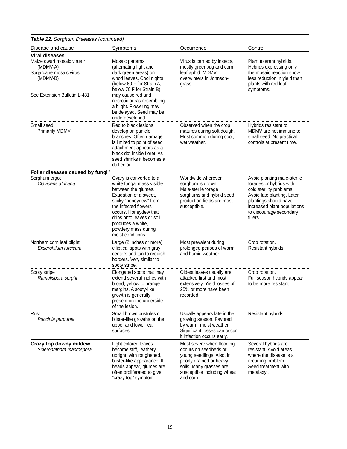**Table 12.** Sorghum Diseases (continued)

| $\frac{1}{2}$ $\frac{1}{2}$ $\frac{1}{2}$ $\frac{1}{2}$ $\frac{1}{2}$ $\frac{1}{2}$ $\frac{1}{2}$ $\frac{1}{2}$ $\frac{1}{2}$ $\frac{1}{2}$ $\frac{1}{2}$ $\frac{1}{2}$ $\frac{1}{2}$ $\frac{1}{2}$ $\frac{1}{2}$ $\frac{1}{2}$ $\frac{1}{2}$ $\frac{1}{2}$ $\frac{1}{2}$ $\frac{1}{2}$ $\frac{1}{2}$ $\frac{1}{2}$ |                                                                                                                                                                                                                                                                                    |                                                                                                                                                                                   |                                                                                                                                                                                                                 |
|---------------------------------------------------------------------------------------------------------------------------------------------------------------------------------------------------------------------------------------------------------------------------------------------------------------------|------------------------------------------------------------------------------------------------------------------------------------------------------------------------------------------------------------------------------------------------------------------------------------|-----------------------------------------------------------------------------------------------------------------------------------------------------------------------------------|-----------------------------------------------------------------------------------------------------------------------------------------------------------------------------------------------------------------|
| Disease and cause                                                                                                                                                                                                                                                                                                   | Symptoms                                                                                                                                                                                                                                                                           | Occurrence                                                                                                                                                                        | Control                                                                                                                                                                                                         |
| <b>Viral diseases</b><br>Maize dwarf mosaic virus *<br>(MDMV-A)<br>Sugarcane mosaic virus<br>(MDMV-B)<br>See Extension Bulletin L-481                                                                                                                                                                               | Mosaic patterns<br>(alternating light and<br>dark green areas) on<br>whorl leaves. Cool nights<br>(below 60 F for Strain A,<br>below 70 F for Strain B)<br>may cause red and<br>necrotic areas resembling<br>a blight. Flowering may<br>be delayed. Seed may be<br>underdeveloped. | Virus is carried by insects,<br>mostly greenbug and corn<br>leaf aphid. MDMV<br>overwinters in Johnson-<br>grass.                                                                 | Plant tolerant hybrids.<br>Hybrids expressing only<br>the mosaic reaction show<br>less reduction in yield than<br>plants with red leaf<br>symptoms.                                                             |
| Small seed<br><b>Primarily MDMV</b>                                                                                                                                                                                                                                                                                 | Red to black lesions<br>develop on panicle<br>branches. Often damage<br>is limited to point of seed<br>attachment-appears as a<br>black dot inside floret. As<br>seed shrinks it becomes a<br>dull color                                                                           | Observed when the crop<br>matures during soft dough.<br>Most common during cool,<br>wet weather.                                                                                  | Hybrids resistant to<br>MDMV are not immune to<br>small seed. No practical<br>controls at present time.                                                                                                         |
| Foliar diseases caused by fungi <sup>1</sup><br>Sorghum ergot<br>Claviceps africana                                                                                                                                                                                                                                 | Ovary is converted to a<br>white fungal mass visible<br>between the glumes.<br>Exudation of a sweet.<br>sticky "honeydew" from<br>the infected flowers<br>occurs. Honeydew that<br>drips onto leaves or soil<br>produces a white,<br>powdery mass during<br>moist conditions.      | Worldwide wherever<br>sorghum is grown.<br>Male-sterile forage<br>sorghums and hybrid seed<br>production fields are most<br>susceptible.                                          | Avoid planting male-sterile<br>forages or hybrids with<br>cold sterility problems.<br>Avoid late planting. Later<br>plantings should have<br>increased plant populations<br>to discourage secondary<br>tillers. |
| Northern corn leaf blight<br>Exserohilum turcicum                                                                                                                                                                                                                                                                   | Large (2 inches or more)<br>elliptical spots with gray<br>centers and tan to reddish<br>borders. Very similar to<br>sooty stripe.                                                                                                                                                  | Most prevalent during<br>prolonged periods of warm<br>and humid weather.                                                                                                          | Crop rotation.<br>Resistant hybrids.                                                                                                                                                                            |
| Sooty stripe *<br>Ramulispora sorghi                                                                                                                                                                                                                                                                                | Elongated spots that may<br>extend several inches with<br>broad, yellow to orange<br>margins. A sooty-like<br>growth is generally<br>present on the underside<br>of the lesion.                                                                                                    | Oldest leaves usually are<br>attacked first and most<br>extensively. Yield losses of<br>25% or more have been<br>recorded.                                                        | Crop rotation.<br>Full season hybrids appear<br>to be more resistant.                                                                                                                                           |
| Rust<br>Puccinia purpurea                                                                                                                                                                                                                                                                                           | Small brown pustules or<br>blister-like growths on the<br>upper and lower leaf<br>surfaces.                                                                                                                                                                                        | Usually appears late in the<br>growing season. Favored<br>by warm, moist weather.<br>Significant losses can occur<br>if infection occurs early.                                   | Resistant hybrids.                                                                                                                                                                                              |
| Crazy top downy mildew<br>Sclerophthora macrospora                                                                                                                                                                                                                                                                  | Light colored leaves<br>become stiff, leathery,<br>upright, with roughened,<br>blister-like appearance. If<br>heads appear, glumes are<br>often proliferated to give<br>"crazy top" symptom.                                                                                       | Most severe when flooding<br>occurs on seedbeds or<br>young seedlings. Also, in<br>poorly drained or heavy<br>soils. Many grasses are<br>susceptible including wheat<br>and corn. | Several hybrids are<br>resistant. Avoid areas<br>where the disease is a<br>recurring problem.<br>Seed treatment with<br>metalaxyl.                                                                              |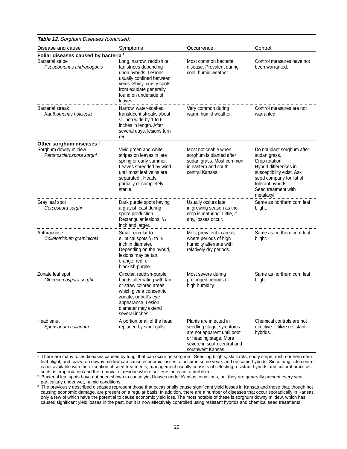**Table 12.** Sorghum Diseases (continued)

| Disease and cause                                                                                      | Symptoms                                                                                                                                                                                             | Occurrence                                                                                                                                                      | Control                                                                                                                                                                                                  |
|--------------------------------------------------------------------------------------------------------|------------------------------------------------------------------------------------------------------------------------------------------------------------------------------------------------------|-----------------------------------------------------------------------------------------------------------------------------------------------------------------|----------------------------------------------------------------------------------------------------------------------------------------------------------------------------------------------------------|
| Foliar diseases caused by bacteria <sup>2</sup><br><b>Bacterial stripe</b><br>Pseudomonas andropogonis | Long, narrow, reddish or<br>tan stripes depending<br>upon hybrids. Lesions<br>usually confined between<br>veins. Shiny, crusty spots<br>from exudate generally<br>found on underside of<br>leaves.   | Most common bacterial<br>disease. Prevalent during<br>cool, humid weather.                                                                                      | Control measures have not<br>been warranted.                                                                                                                                                             |
| <b>Bacterial streak</b><br>Xanthomonas holcicola                                                       | Narrow, water-soaked,<br>translucent streaks about<br>$\frac{1}{8}$ inch wide by 1 to 6<br>inches in length. After<br>several days, lesions turn<br>red.                                             | Very common during<br>warm, humid weather.                                                                                                                      | Control measures are not<br>warranted                                                                                                                                                                    |
| Other sorghum diseases <sup>3</sup><br>Sorghum downy mildew<br>Peronosclerospora sorghi                | Vivid green and white<br>stripes on leaves in late<br>spring or early summer.<br>Leaves shredded by wind<br>until most leaf veins are<br>separated. Heads<br>partially or completely<br>sterile.     | Most noticeable when<br>sorghum is planted after<br>sudan grass. Most common<br>in eastern and south<br>central Kansas.                                         | Do not plant sorghum after<br>sudan grass.<br>Crop rotation.<br>Hybrid differences in<br>susceptibility exist. Ask<br>seed company for list of<br>tolerant hybrids.<br>Seed treatment with<br>metalaxyl. |
| Gray leaf spot<br>Cercospora sorghi                                                                    | Dark purple spots having<br>a grayish cast during<br>spore production.<br>Rectangular lesions, 1/4<br>inch and larger.                                                                               | Usually occurs late<br>in growing season as the<br>crop is maturing. Little, if<br>any, losses occur.                                                           | Same as northern corn leaf<br>blight.                                                                                                                                                                    |
| Anthracnose<br>Colletotrichum graminicola                                                              | Small, circular to<br>elliptical spots $\frac{1}{8}$ to $\frac{1}{4}$<br>inch in diameter.<br>Depending on the hybrid,<br>lesions may be tan,<br>orange, red, or<br>blackish-purple.                 | Most prevalent in areas<br>where periods of high<br>humidity alternate with<br>relatively dry periods.                                                          | Same as northern corn leaf<br>blight.                                                                                                                                                                    |
| Zonate leaf spot<br>Gloeocercospora sorghi                                                             | Circular, reddish-purple<br>bands alternating with tan<br>or straw colored areas<br>which give a concentric<br>zonate, or bull's-eye<br>appearance. Lesion<br>diameter may extend<br>several inches. | Most severe during<br>prolonged periods of<br>high humidity.                                                                                                    | Same as northern corn leaf<br>blight.                                                                                                                                                                    |
| Head smut<br>Sporisorium reilianum                                                                     | A portion or all of the head<br>replaced by smut galls.                                                                                                                                              | Plants are infected in<br>seedling stage; symptoms<br>are not apparent until boot<br>or heading stage. More<br>severe in south central and<br>southwest Kansas. | Chemical controls are not<br>effective. Utilize resistant<br>hybrids.                                                                                                                                    |

<sup>1</sup> There are many foliar diseases caused by fungi that can occur on sorghum. Seedling blights, stalk rots, sooty stripe, rust, northern corn leaf blight, and crazy top downy mildew can cause economic losses to occur in some years and on some hybrids. Since fungicide control is not available with the exception of seed treatments, management usually consists of selecting resistant hybrids and cultural practices such as crop rotation and the removal of residue where soil erosion is not a problem.

<sup>2</sup> Bacterial leaf spots have not been shown to cause yield losses under Kansas conditions, but they are generally present every year, particularly under wet, humid conditions.

<sup>3</sup> The previously described diseases represent those that occasionally cause significant yield losses in Kansas and those that, though not causing economic damage, are present on a regular basis. In addition, there are a number of diseases that occur sporadically in Kansas, only a few of which have the potential to cause economic yield loss. The most notable of these is sorghum downy mildew, which has caused significant yield losses in the past, but it is now effectively controlled using resistant hybrids and chemical seed treatments.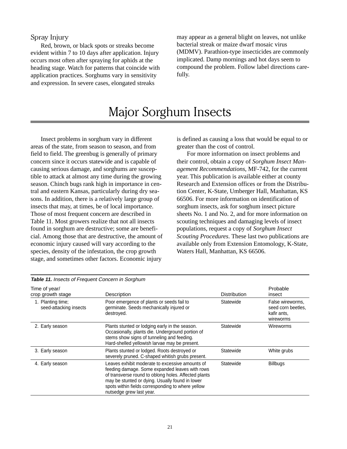### Spray Injury

Red, brown, or black spots or streaks become evident within 7 to 10 days after application. Injury occurs most often after spraying for aphids at the heading stage. Watch for patterns that coincide with application practices. Sorghums vary in sensitivity and expression. In severe cases, elongated streaks

may appear as a general blight on leaves, not unlike bacterial streak or maize dwarf mosaic virus (MDMV). Parathion-type insecticides are commonly implicated. Damp mornings and hot days seem to compound the problem. Follow label directions carefully.

# Major Sorghum Insects

Insect problems in sorghum vary in different areas of the state, from season to season, and from field to field. The greenbug is generally of primary concern since it occurs statewide and is capable of causing serious damage, and sorghums are susceptible to attack at almost any time during the growing season. Chinch bugs rank high in importance in central and eastern Kansas, particularly during dry seasons. In addition, there is a relatively large group of insects that may, at times, be of local importance. Those of most frequent concern are described in Table 11. Most growers realize that not all insects found in sorghum are destructive; some are beneficial. Among those that are destructive, the amount of economic injury caused will vary according to the species, density of the infestation, the crop growth stage, and sometimes other factors. Economic injury

is defined as causing a loss that would be equal to or greater than the cost of control.

For more information on insect problems and their control, obtain a copy of *Sorghum Insect Management Recommendations*, MF-742, for the current year. This publication is available either at county Research and Extension offices or from the Distribution Center, K-State, Umberger Hall, Manhattan, KS 66506. For more information on identification of sorghum insects, ask for sorghum insect picture sheets No. 1 and No. 2, and for more information on scouting techniques and damaging levels of insect populations, request a copy of *Sorghum Insect Scouting Procedures*. These last two publications are available only from Extension Entomology, K-State, Waters Hall, Manhattan, KS 66506.

| Table 11. Insects of Frequent Concern in Sorghum |                                                                                                                                                                                                                                                                                               |                     |                                                                    |
|--------------------------------------------------|-----------------------------------------------------------------------------------------------------------------------------------------------------------------------------------------------------------------------------------------------------------------------------------------------|---------------------|--------------------------------------------------------------------|
| Time of year/<br>crop growth stage               | Description                                                                                                                                                                                                                                                                                   | <b>Distribution</b> | Probable<br>insect                                                 |
| 1. Planting time;<br>seed-attacking insects      | Poor emergence of plants or seeds fail to<br>germinate. Seeds mechanically injured or<br>destroved.                                                                                                                                                                                           | Statewide           | False wireworms.<br>seed corn beetles.<br>kafir ants,<br>wireworms |
| 2. Early season                                  | Plants stunted or lodging early in the season.<br>Occasionally, plants die. Underground portion of<br>stems show signs of tunneling and feeding.<br>Hard-shelled yellowish larvae may be present.                                                                                             | Statewide           | Wireworms                                                          |
| 3. Early season                                  | Plants stunted or lodged. Roots destroyed or<br>severely pruned. C-shaped whitish grubs present.                                                                                                                                                                                              | Statewide           | White grubs                                                        |
| 4. Early season                                  | Leaves exhibit moderate to excessive amounts of<br>feeding damage. Some expanded leaves with rows<br>of transverse round to oblong holes. Affected plants<br>may be stunted or dying. Usually found in lower<br>spots within fields corresponding to where yellow<br>nutsedge grew last year. | Statewide           | <b>Billbugs</b>                                                    |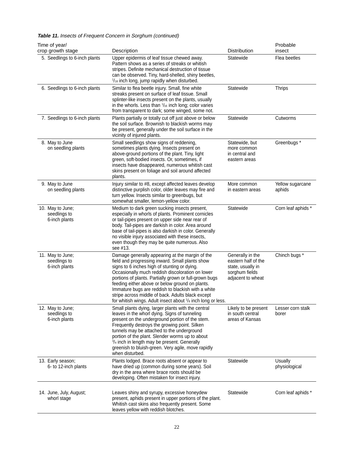| Time of year/<br>crop growth stage                | Description                                                                                                                                                                                                                                                                                                                                                                                                                                                                                    | Distribution                                                                                        | Probable<br>insect         |
|---------------------------------------------------|------------------------------------------------------------------------------------------------------------------------------------------------------------------------------------------------------------------------------------------------------------------------------------------------------------------------------------------------------------------------------------------------------------------------------------------------------------------------------------------------|-----------------------------------------------------------------------------------------------------|----------------------------|
| 5. Seedlings to 6-inch plants                     | Upper epidermis of leaf tissue chewed away.<br>Pattern shows as a series of streaks or whitish<br>stripes. Definite mechanical destruction of tissue<br>can be observed. Tiny, hard-shelled, shiny beetles,<br>1/16 inch long, jump rapidly when disturbed.                                                                                                                                                                                                                                    | Statewide                                                                                           | Flea beetles               |
| 6. Seedlings to 6-inch plants                     | Similar to flea beetle injury. Small, fine white<br>streaks present on surface of leaf tissue. Small<br>splinter-like insects present on the plants, usually<br>in the whorls. Less than $1/16$ inch long; color varies<br>from transparent to dark; some winged, some not.                                                                                                                                                                                                                    | Statewide                                                                                           | <b>Thrips</b>              |
| 7. Seedlings to 6-inch plants                     | Plants partially or totally cut off just above or below<br>the soil surface. Brownish to blackish worms may<br>be present, generally under the soil surface in the<br>vicinity of injured plants.                                                                                                                                                                                                                                                                                              | Statewide                                                                                           | Cutworms                   |
| 8. May to June<br>on seedling plants              | Small seedlings show signs of reddening,<br>sometimes plants dying. Insects present on<br>above-ground portions of the plant. Tiny, light<br>green, soft-bodied insects. Or, sometimes, if<br>insects have disappeared, numerous whitish cast<br>skins present on foliage and soil around affected<br>plants.                                                                                                                                                                                  | Statewide, but<br>more common<br>in central and<br>eastern areas                                    | Greenbugs*                 |
| 9. May to June<br>on seedling plants              | Injury similar to #8, except affected leaves develop<br>distinctive purplish color, older leaves may fire and<br>turn yellow. Insects similar to greenbugs, but<br>somewhat smaller, lemon-yellow color.                                                                                                                                                                                                                                                                                       | More common<br>in eastern areas                                                                     | Yellow sugarcane<br>aphids |
| 10. May to June;<br>seedlings to<br>6-inch plants | Medium to dark green sucking insects present,<br>especially in whorls of plants. Prominent cornicles<br>or tail-pipes present on upper side near rear of<br>body. Tail-pipes are darkish in color. Area around<br>base of tail-pipes is also darkish in color. Generally<br>no visible injury associated with these insects,<br>even though they may be quite numerous. Also<br>see #13.                                                                                                       | Statewide                                                                                           | Corn leaf aphids *         |
| 11. May to June;<br>seedlings to<br>6-inch plants | Damage generally appearing at the margin of the<br>field and progressing inward. Small plants show<br>signs to 6 inches high of stunting or dying.<br>Occasionally much reddish discoloration on lower<br>portions of plants. Partially grown or full-grown bugs<br>feeding either above or below ground on plants.<br>Immature bugs are reddish to blackish with a white<br>stripe across middle of back. Adults black except<br>for whitish wings. Adult insect about 1/8 inch long or less. | Generally in the<br>eastern half of the<br>state, usually in<br>sorghum fields<br>adjacent to wheat | Chinch bugs *              |
| 12. May to June;<br>seedlings to<br>6-inch plants | Small plants dying, larger plants with the central<br>leaves in the whorl dying. Signs of tunneling<br>present on the underground portion of the stem.<br>Frequently destroys the growing point. Silken<br>tunnels may be attached to the underground<br>portion of the plant. Slender worms up to about<br>3/4 inch in length may be present. Generally<br>greenish to bluish-green. Very agile, move rapidly<br>when disturbed.                                                              | Likely to be present<br>in south central<br>areas of Kansas                                         | Lesser corn stalk<br>borer |
| 13. Early season;<br>6- to 12-inch plants         | Plants lodged. Brace roots absent or appear to<br>have dried up (common during some years). Soil<br>dry in the area where brace roots should be<br>developing. Often mistaken for insect injury.                                                                                                                                                                                                                                                                                               | Statewide                                                                                           | Usually<br>physiological   |
| 14. June, July, August;<br>whorl stage            | Leaves shiny and syrupy, excessive honeydew<br>present, aphids present in upper portions of the plant.<br>Whitish cast skins also frequently present. Some<br>leaves yellow with reddish blotches.                                                                                                                                                                                                                                                                                             | Statewide                                                                                           | Corn leaf aphids *         |

# **Table 11.** Insects of Frequent Concern in Sorghum (continued)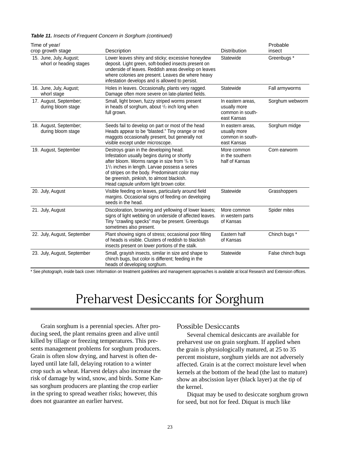|  | Table 11. Insects of Frequent Concern in Sorghum (continued) |  |  |
|--|--------------------------------------------------------------|--|--|
|--|--------------------------------------------------------------|--|--|

| Time of year/                                      |                                                                                                                                                                                                                                                                                                                                             |                                                                      | Probable      |
|----------------------------------------------------|---------------------------------------------------------------------------------------------------------------------------------------------------------------------------------------------------------------------------------------------------------------------------------------------------------------------------------------------|----------------------------------------------------------------------|---------------|
| crop growth stage                                  | Description                                                                                                                                                                                                                                                                                                                                 | <b>Distribution</b>                                                  | insect        |
| 15. June, July, August;<br>whorl or heading stages | Lower leaves shiny and sticky; excessive honeydew<br>deposit. Light green, soft-bodied insects present on<br>underside of leaves. Reddish areas develop on leaves<br>where colonies are present. Leaves die where heavy<br>infestation develops and is allowed to persist.                                                                  | Statewide                                                            | Greenbugs*    |
| 16. June, July, August;<br>whorl stage             | Holes in leaves. Occasionally, plants very ragged.<br>Damage often more severe on late-planted fields.                                                                                                                                                                                                                                      | Statewide                                                            | Fall armyworn |
| 17. August, September;<br>during bloom stage       | Small, light brown, fuzzy striped worms present<br>in heads of sorghum, about $\frac{1}{2}$ inch long when<br>full grown.                                                                                                                                                                                                                   | In eastern areas,<br>usually more<br>common in south-<br>east Kansas | Sorghum web   |
| 18. August, September;<br>during bloom stage       | Seeds fail to develop on part or most of the head<br>Heads appear to be "blasted." Tiny orange or red<br>maggots occasionally present, but generally not<br>visible except under microscope.                                                                                                                                                | In eastern areas,<br>usually more<br>common in south-<br>east Kansas | Sorghum mido  |
| 19. August, September                              | Destroys grain in the developing head.<br>Infestation usually begins during or shortly<br>after bloom. Worms range in size from 1/4 to<br>$1\frac{1}{2}$ inches in length. Larvae possess a series<br>of stripes on the body. Predominant color may<br>be greenish, pinkish, to almost blackish.<br>Head capsule uniform light brown color. | More common<br>in the southern<br>half of Kansas                     | Corn earworm  |
| 20. July, August                                   | Visible feeding on leaves, particularly around field<br>margins. Occasional signs of feeding on developing<br>seeds in the head.                                                                                                                                                                                                            | Statewide                                                            | Grasshoppers  |
| 21. July, August                                   | Discoloration, browning and yellowing of lower leaves;<br>signs of light webbing on underside of affected leaves.<br>Tiny "crawling specks" may be present. Greenbugs                                                                                                                                                                       | More common<br>in western parts<br>of Kansas                         | Spider mites  |

sometimes also present.

heads of developing sorghum.

\* See photograph, inside back cover. Information on treatment guidelines and management approaches is available at local Research and Extension offices.

23. July, August, September Small, grayish insects, similar in size and shape to Statewide False chinch bugs

22. July, August, September Plant showing signs of stress; occasional poor filling Eastern half Chinch bugs \* of heads is visible. Clusters of reddish to blackish insects present on lower portions of the stalk.

chinch bugs, but color is different; feeding in the

# Preharvest Desiccants for Sorghum

Grain sorghum is a perennial species. After producing seed, the plant remains green and alive until killed by tillage or freezing temperatures. This presents management problems for sorghum producers. Grain is often slow drying, and harvest is often delayed until late fall, delaying rotation to a winter crop such as wheat. Harvest delays also increase the risk of damage by wind, snow, and birds. Some Kansas sorghum producers are planting the crop earlier in the spring to spread weather risks; however, this does not guarantee an earlier harvest.

#### Possible Desiccants

Several chemical desiccants are available for preharvest use on grain sorghum. If applied when the grain is physiologically matured, at 25 to 35 percent moisture, sorghum yields are not adversely affected. Grain is at the correct moisture level when kernels at the bottom of the head (the last to mature) show an abscission layer (black layer) at the tip of the kernel.

Fall armyworms

Sorghum midge

Sorghum webworm

Diquat may be used to desiccate sorghum grown for seed, but not for feed. Diquat is much like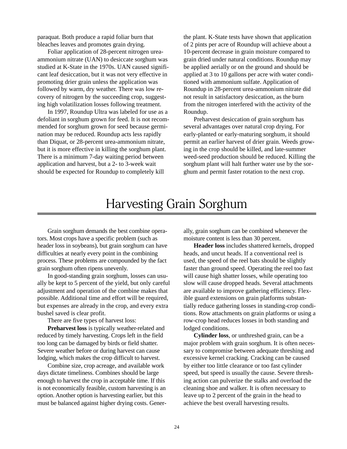paraquat. Both produce a rapid foliar burn that bleaches leaves and promotes grain drying.

Foliar application of 28-percent nitrogen ureaammonium nitrate (UAN) to desiccate sorghum was studied at K-State in the 1970s. UAN caused significant leaf desiccation, but it was not very effective in promoting drier grain unless the application was followed by warm, dry weather. There was low recovery of nitrogen by the succeeding crop, suggesting high volatilization losses following treatment.

In 1997, Roundup Ultra was labeled for use as a defoliant in sorghum grown for feed. It is not recommended for sorghum grown for seed because germination may be reduced. Roundup acts less rapidly than Diquat, or 28-percent urea-ammonium nitrate, but it is more effective in killing the sorghum plant. There is a minimum 7-day waiting period between application and harvest, but a 2- to 3-week wait should be expected for Roundup to completely kill

the plant. K-State tests have shown that application of 2 pints per acre of Roundup will achieve about a 10-percent decrease in grain moisture compared to grain dried under natural conditions. Roundup may be applied aerially or on the ground and should be applied at 3 to 10 gallons per acre with water conditioned with ammonium sulfate. Application of Roundup in 28-percent urea-ammonium nitrate did not result in satisfactory desiccation, as the burn from the nitrogen interfered with the activity of the Roundup.

Preharvest desiccation of grain sorghum has several advantages over natural crop drying. For early-planted or early-maturing sorghum, it should permit an earlier harvest of drier grain. Weeds growing in the crop should be killed, and late-summer weed-seed production should be reduced. Killing the sorghum plant will halt further water use by the sorghum and permit faster rotation to the next crop.

# Harvesting Grain Sorghum

Grain sorghum demands the best combine operators. Most crops have a specific problem (such as header loss in soybeans), but grain sorghum can have difficulties at nearly every point in the combining process. These problems are compounded by the fact grain sorghum often ripens unevenly.

In good-standing grain sorghum, losses can usually be kept to 5 percent of the yield, but only careful adjustment and operation of the combine makes that possible. Additional time and effort will be required, but expenses are already in the crop, and every extra bushel saved is clear profit.

There are five types of harvest loss:

**Preharvest loss** is typically weather-related and reduced by timely harvesting. Crops left in the field too long can be damaged by birds or field shatter. Severe weather before or during harvest can cause lodging, which makes the crop difficult to harvest.

Combine size, crop acreage, and available work days dictate timeliness. Combines should be large enough to harvest the crop in acceptable time. If this is not economically feasible, custom harvesting is an option. Another option is harvesting earlier, but this must be balanced against higher drying costs. Generally, grain sorghum can be combined whenever the moisture content is less than 30 percent.

**Header loss** includes shattered kernels, dropped heads, and uncut heads. If a conventional reel is used, the speed of the reel bats should be slightly faster than ground speed. Operating the reel too fast will cause high shatter losses, while operating too slow will cause dropped heads. Several attachments are available to improve gathering efficiency. Flexible guard extensions on grain platforms substantially reduce gathering losses in standing-crop conditions. Row attachments on grain platforms or using a row-crop head reduces losses in both standing and lodged conditions.

**Cylinder loss**, or unthreshed grain, can be a major problem with grain sorghum. It is often necessary to compromise between adequate threshing and excessive kernel cracking. Cracking can be caused by either too little clearance or too fast cylinder speed, but speed is usually the cause. Severe threshing action can pulverize the stalks and overload the cleaning shoe and walker. It is often necessary to leave up to 2 percent of the grain in the head to achieve the best overall harvesting results.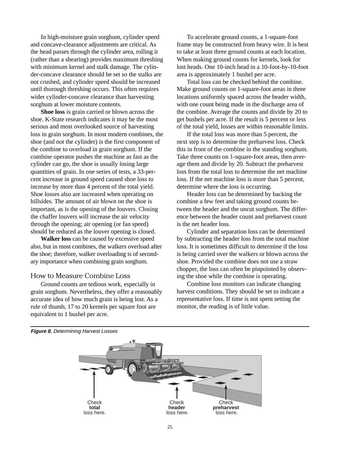In high-moisture grain sorghum, cylinder speed and concave-clearance adjustments are critical. As the head passes through the cylinder area, rolling it (rather than a shearing) provides maximum threshing with minimum kernel and stalk damage. The cylinder-concave clearance should be set so the stalks are not crushed, and cylinder speed should be increased until thorough threshing occurs. This often requires wider cylinder-concave clearance than harvesting sorghum at lower moisture contents.

**Shoe loss** is grain carried or blown across the shoe. K-State research indicates it may be the most serious and most overlooked source of harvesting loss in grain sorghum. In most modern combines, the shoe (and not the cylinder) is the first component of the combine to overload in grain sorghum. If the combine operator pushes the machine as fast as the cylinder can go, the shoe is usually losing large quantities of grain. In one series of tests, a 33-percent increase in ground speed caused shoe loss to increase by more than 4 percent of the total yield. Shoe losses also are increased when operating on hillsides. The amount of air blown on the shoe is important, as is the opening of the louvers. Closing the chaffer louvers will increase the air velocity through the opening; air opening (or fan speed) should be reduced as the louver opening is closed.

**Walker loss** can be caused by excessive speed also, but in most combines, the walkers overload after the shoe; therefore, walker overloading is of secondary importance when combining grain sorghum.

### How to Measure Combine Loss

Ground counts are tedious work, especially in grain sorghum. Nevertheless, they offer a reasonably accurate idea of how much grain is being lost. As a rule of thumb, 17 to 20 kernels per square foot are equivalent to 1 bushel per acre.

To accelerate ground counts, a 1-square-foot frame may be constructed from heavy wire. It is best to take at least three ground counts at each location. When making ground counts for kernels, look for lost heads. One 10-inch head in a 10-foot-by-10-foot area is approximately 1 bushel per acre.

Total loss can be checked behind the combine. Make ground counts on 1-square-foot areas in three locations uniformly spaced across the header width, with one count being made in the discharge area of the combine. Average the counts and divide by 20 to get bushels per acre. If the result is 5 percent or less of the total yield, losses are within reasonable limits.

If the total loss was more than 5 percent, the next step is to determine the preharvest loss. Check this in front of the combine in the standing sorghum. Take three counts on 1-square-foot areas, then average them and divide by 20. Subtract the preharvest loss from the total loss to determine the net machine loss. If the net machine loss is more than 5 percent, determine where the loss is occurring.

Header loss can be determined by backing the combine a few feet and taking ground counts between the header and the uncut sorghum. The difference between the header count and preharvest count is the net header loss.

Cylinder and separation loss can be determined by subtracting the header loss from the total machine loss. It is sometimes difficult to determine if the loss is being carried over the walkers or blown across the shoe. Provided the combine does not use a straw chopper, the loss can often be pinpointed by observing the shoe while the combine is operating.

Combine loss monitors can indicate changing harvest conditions. They should be set to indicate a representative loss. If time is not spent setting the monitor, the reading is of little value.



**Figure 8.** Determining Harvest Losses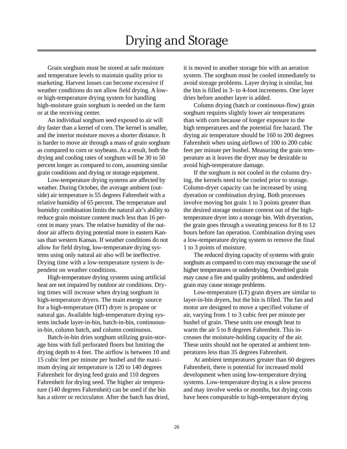# Drying and Storage

Grain sorghum must be stored at safe moisture and temperature levels to maintain quality prior to marketing. Harvest losses can become excessive if weather conditions do not allow field drying. A lowor high-temperature drying system for handling high-moisture grain sorghum is needed on the farm or at the receiving center.

An individual sorghum seed exposed to air will dry faster than a kernel of corn. The kernel is smaller, and the interior moisture moves a shorter distance. It is harder to move air through a mass of grain sorghum as compared to corn or soybeans. As a result, both the drying and cooling rates of sorghum will be 30 to 50 percent longer as compared to corn, assuming similar grain conditions and drying or storage equipment.

Low-temperature drying systems are affected by weather. During October, the average ambient (outside) air temperature is 55 degrees Fahrenheit with a relative humidity of 65 percent. The temperature and humidity combination limits the natural air's ability to reduce grain moisture content much less than 16 percent in many years. The relative humidity of the outdoor air affects drying potential more in eastern Kansas than western Kansas. If weather conditions do not allow for field drying, low-temperature drying systems using only natural air also will be ineffective. Drying time with a low-temperature system is dependent on weather conditions.

High-temperature drying systems using artificial heat are not impaired by outdoor air conditions. Drying times will increase when drying sorghum in high-temperature dryers. The main energy source for a high-temperature (HT) dryer is propane or natural gas. Available high-temperature drying systems include layer-in-bin, batch-in-bin, continuousin-bin, column batch, and column continuous.

Batch-in-bin dries sorghum utilizing grain-storage bins with full perforated floors but limiting the drying depth to 4 feet. The airflow is between 10 and 15 cubic feet per minute per bushel and the maximum drying air temperature is 120 to 140 degrees Fahrenheit for drying feed grain and 110 degrees Fahrenheit for drying seed. The higher air temperature (140 degrees Fahrenheit) can be used if the bin has a stirrer or recirculator. After the batch has dried, it is moved to another storage bin with an aeration system. The sorghum must be cooled immediately to avoid storage problems. Layer drying is similar, but the bin is filled in 3- to 4-foot increments. One layer dries before another layer is added.

Column drying (batch or continuous-flow) grain sorghum requires slightly lower air temperatures than with corn because of longer exposure to the high temperatures and the potential fire hazard. The drying air temperature should be 160 to 200 degrees Fahrenheit when using airflows of 100 to 200 cubic feet per minute per bushel. Measuring the grain temperature as it leaves the dryer may be desirable to avoid high-temperature damage.

If the sorghum is not cooled in the column drying, the kernels need to be cooled prior to storage. Column-dryer capacity can be increased by using dyeration or combination drying. Both processes involve moving hot grain 1 to 3 points greater than the desired storage moisture content out of the hightemperature dryer into a storage bin. With dryeration, the grain goes through a sweating process for 8 to 12 hours before fan operation. Combination drying uses a low-temperature drying system to remove the final 1 to 3 points of moisture.

The reduced drying capacity of systems with grain sorghum as compared to corn may encourage the use of higher temperatures or underdrying. Overdried grain may cause a fire and quality problems, and underdried grain may cause storage problems.

Low-temperature (LT) grain dryers are similar to layer-in-bin dryers, but the bin is filled. The fan and motor are designed to move a specified volume of air, varying from 1 to 3 cubic feet per minute per bushel of grain. These units use enough heat to warm the air 5 to 8 degrees Fahrenheit. This increases the moisture-holding capacity of the air. These units should not be operated at ambient temperatures less than 35 degrees Fahrenheit.

At ambient temperatures greater than 60 degrees Fahrenheit, there is potential for increased mold development when using low-temperature drying systems. Low-temperature drying is a slow process and may involve weeks or months, but drying costs have been comparable to high-temperature drying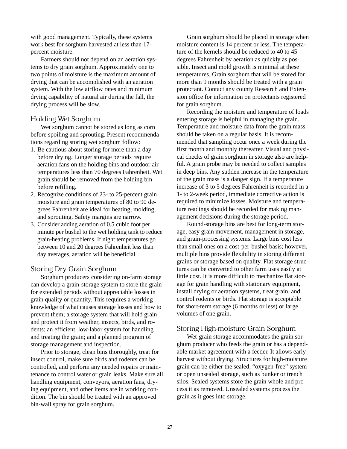with good management. Typically, these systems work best for sorghum harvested at less than 17 percent moisture.

Farmers should not depend on an aeration systems to dry grain sorghum. Approximately one to two points of moisture is the maximum amount of drying that can be accomplished with an aeration system. With the low airflow rates and minimum drying capability of natural air during the fall, the drying process will be slow.

### Holding Wet Sorghum

Wet sorghum cannot be stored as long as corn before spoiling and sprouting. Present recommendations regarding storing wet sorghum follow:

- 1. Be cautious about storing for more than a day before drying. Longer storage periods require aeration fans on the holding bins and outdoor air temperatures less than 70 degrees Fahrenheit. Wet grain should be removed from the holding bin before refilling.
- 2. Recognize conditions of 23- to 25-percent grain moisture and grain temperatures of 80 to 90 degrees Fahrenheit are ideal for heating, molding, and sprouting. Safety margins are narrow.
- 3. Consider adding aeration of 0.5 cubic foot per minute per bushel to the wet holding tank to reduce grain-heating problems. If night temperatures go between 10 and 20 degrees Fahrenheit less than day averages, aeration will be beneficial.

### Storing Dry Grain Sorghum

Sorghum producers considering on-farm storage can develop a grain-storage system to store the grain for extended periods without appreciable losses in grain quality or quantity. This requires a working knowledge of what causes storage losses and how to prevent them; a storage system that will hold grain and protect it from weather, insects, birds, and rodents; an efficient, low-labor system for handling and treating the grain; and a planned program of storage management and inspection.

Prior to storage, clean bins thoroughly, treat for insect control, make sure birds and rodents can be controlled, and perform any needed repairs or maintenance to control water or grain leaks. Make sure all handling equipment, conveyors, aeration fans, drying equipment, and other items are in working condition. The bin should be treated with an approved bin-wall spray for grain sorghum.

Grain sorghum should be placed in storage when moisture content is 14 percent or less. The temperature of the kernels should be reduced to 40 to 45 degrees Fahrenheit by aeration as quickly as possible. Insect and mold growth is minimal at these temperatures. Grain sorghum that will be stored for more than 9 months should be treated with a grain protectant. Contact any county Research and Extension office for information on protectants registered for grain sorghum.

Recording the moisture and temperature of loads entering storage is helpful in managing the grain. Temperature and moisture data from the grain mass should be taken on a regular basis. It is recommended that sampling occur once a week during the first month and monthly thereafter. Visual and physical checks of grain sorghum in storage also are helpful. A grain probe may be needed to collect samples in deep bins. Any sudden increase in the temperature of the grain mass is a danger sign. If a temperature increase of 3 to 5 degrees Fahrenheit is recorded in a 1- to 2-week period, immediate corrective action is required to minimize losses. Moisture and temperature readings should be recorded for making management decisions during the storage period.

Round-storage bins are best for long-term storage, easy grain movement, management in storage, and grain-processing systems. Large bins cost less than small ones on a cost-per-bushel basis; however, multiple bins provide flexibility in storing different grains or storage based on quality. Flat storage structures can be converted to other farm uses easily at little cost. It is more difficult to mechanize flat storage for grain handling with stationary equipment, install drying or aeration systems, treat grain, and control rodents or birds. Flat storage is acceptable for short-term storage (6 months or less) or large volumes of one grain.

# Storing High-moisture Grain Sorghum

Wet-grain storage accommodates the grain sorghum producer who feeds the grain or has a dependable market agreement with a feeder. It allows early harvest without drying. Structures for high-moisture grain can be either the sealed, "oxygen-free" system or open unsealed storage, such as bunker or trench silos. Sealed systems store the grain whole and process it as removed. Unsealed systems process the grain as it goes into storage.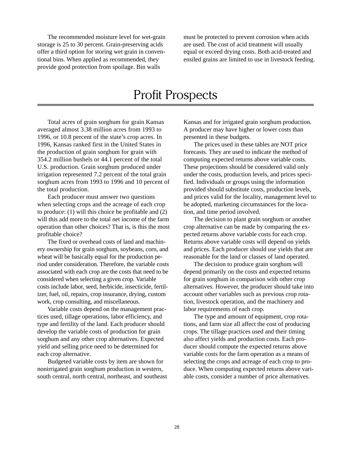The recommended moisture level for wet-grain storage is 25 to 30 percent. Grain-preserving acids offer a third option for storing wet grain in conventional bins. When applied as recommended, they provide good protection from spoilage. Bin walls

must be protected to prevent corrosion when acids are used. The cost of acid treatment will usually equal or exceed drying costs. Both acid-treated and ensiled grains are limited to use in livestock feeding.

# Profit Prospects

Total acres of grain sorghum for grain Kansas averaged almost 3.38 million acres from 1993 to 1996, or 10.8 percent of the state's crop acres. In 1996, Kansas ranked first in the United States in the production of grain sorghum for grain with 354.2 million bushels or 44.1 percent of the total U.S. production. Grain sorghum produced under irrigation represented 7.2 percent of the total grain sorghum acres from 1993 to 1996 and 10 percent of the total production.

Each producer must answer two questions when selecting crops and the acreage of each crop to produce: (1) will this choice be profitable and (2) will this add more to the total net income of the farm operation than other choices? That is, is this the most profitable choice?

The fixed or overhead costs of land and machinery ownership for grain sorghum, soybeans, corn, and wheat will be basically equal for the production period under consideration. Therefore, the variable costs associated with each crop are the costs that need to be considered when selecting a given crop. Variable costs include labor, seed, herbicide, insecticide, fertilizer, fuel, oil, repairs, crop insurance, drying, custom work, crop consulting, and miscellaneous.

Variable costs depend on the management practices used, tillage operations, labor efficiency, and type and fertility of the land. Each producer should develop the variable costs of production for grain sorghum and any other crop alternatives. Expected yield and selling price need to be determined for each crop alternative.

Budgeted variable costs by item are shown for nonirrigated grain sorghum production in western, south central, north central, northeast, and southeast Kansas and for irrigated grain sorghum production. A producer may have higher or lower costs than presented in these budgets.

The prices used in these tables are NOT price forecasts. They are used to indicate the method of computing expected returns above variable costs. These projections should be considered valid only under the costs, production levels, and prices specified. Individuals or groups using the information provided should substitute costs, production levels, and prices valid for the locality, management level to be adopted, marketing circumstances for the location, and time period involved.

The decision to plant grain sorghum or another crop alternative can be made by comparing the expected returns above variable costs for each crop. Returns above variable costs will depend on yields and prices. Each producer should use yields that are reasonable for the land or classes of land operated.

The decision to produce grain sorghum will depend primarily on the costs and expected returns for grain sorghum in comparison with other crop alternatives. However, the producer should take into account other variables such as previous crop rotation, livestock operation, and the machinery and labor requirements of each crop.

The type and amount of equipment, crop rotations, and farm size all affect the cost of producing crops. The tillage practices used and their timing also affect yields and production costs. Each producer should compute the expected returns above variable costs for the farm operation as a means of selecting the crops and acreage of each crop to produce. When computing expected returns above variable costs, consider a number of price alternatives.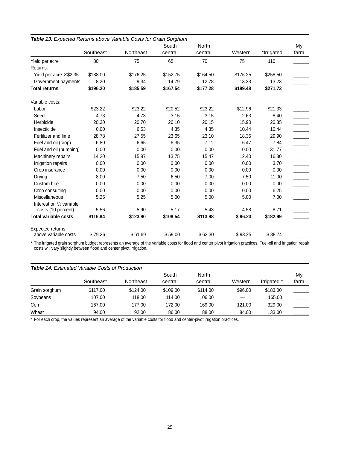|                                    |           |           | South    | North    |          |            | My   |
|------------------------------------|-----------|-----------|----------|----------|----------|------------|------|
|                                    | Southeast | Northeast | central  | central  | Western  | *Irrigated | farm |
| Yield per acre                     | 80        | 75        | 65       | 70       | 75       | 110        |      |
| Returns:                           |           |           |          |          |          |            |      |
| Yield per acre $\times$ \$2.35     | \$188.00  | \$176.25  | \$152.75 | \$164.50 | \$176.25 | \$258.50   |      |
| Government payments                | 8.20      | 9.34      | 14.79    | 12.78    | 13.23    | 13.23      |      |
| <b>Total returns</b>               | \$196.20  | \$185.59  | \$167.54 | \$177.28 | \$189.48 | \$271.73   |      |
| Variable costs:                    |           |           |          |          |          |            |      |
| Labor                              | \$23.22   | \$23.22   | \$20.52  | \$23.22  | \$12.96  | \$21.33    |      |
| Seed                               | 4.73      | 4.73      | 3.15     | 3.15     | 2.63     | 8.40       |      |
| Herbicide                          | 20.30     | 20.70     | 20.10    | 20.15    | 15.90    | 20.35      |      |
| Insecticide                        | 0.00      | 6.53      | 4.35     | 4.35     | 10.44    | 10.44      |      |
| Fertilizer and lime                | 28.78     | 27.55     | 23.65    | 23.10    | 18.35    | 29.90      |      |
| Fuel and oil (crop)                | 6.80      | 6.65      | 6.35     | 7.11     | 6.47     | 7.84       |      |
| Fuel and oil (pumping)             | 0.00      | 0.00      | 0.00     | 0.00     | 0.00     | 31.77      |      |
| Machinery repairs                  | 14.20     | 15.87     | 13.75    | 15.47    | 12.40    | 16.30      |      |
| Irrigation repairs                 | 0.00      | 0.00      | 0.00     | 0.00     | 0.00     | 3.70       |      |
| Crop insurance                     | 0.00      | 0.00      | 0.00     | 0.00     | 0.00     | 0.00       |      |
| Drying                             | 8.00      | 7.50      | 6.50     | 7.00     | 7.50     | 11.00      |      |
| Custom hire                        | 0.00      | 0.00      | 0.00     | 0.00     | 0.00     | 0.00       |      |
| Crop consulting                    | 0.00      | 0.00      | 0.00     | 0.00     | 0.00     | 6.25       |      |
| Miscellaneous                      | 5.25      | 5.25      | 5.00     | 5.00     | 5.00     | 7.00       |      |
| Interest on $\frac{1}{2}$ variable |           |           |          |          |          |            |      |
| costs (10 percent)                 | 5.56      | 5.90      | 5.17     | 5.43     | 4.58     | 8.71       |      |
| <b>Total variable costs</b>        | \$116.84  | \$123.90  | \$108.54 | \$113.98 | \$96.23  | \$182.99   |      |
| <b>Expected returns</b>            |           |           |          |          |          |            |      |
| above variable costs               | \$79.36   | \$61.69   | \$59.00  | \$63.30  | \$93.25  | \$88.74    |      |

**Table 13.** Expected Returns above Variable Costs for Grain Sorghum

\* The irrigated grain sorghum budget represents an average of the variable costs for flood and center pivot irrigation practices. Fuel-oil and irrigation repair costs will vary slightly between flood and center pivot irrigation.

#### **Table 14.** Estimated Variable Costs of Production

|               |           |           | South    | North    |         |             | My   |
|---------------|-----------|-----------|----------|----------|---------|-------------|------|
|               | Southeast | Northeast | central  | central  | Western | Irrigated * | farm |
| Grain sorghum | \$117.00  | \$124.00  | \$109.00 | \$114.00 | \$96.00 | \$183.00    |      |
| Soybeans      | 107.00    | 118.00    | 114.00   | 106.00   |         | 165.00      |      |
| Corn          | 167.00    | 177.00    | 172.00   | 169.00   | 121.00  | 329.00      |      |
| Wheat         | 94.00     | 92.00     | 86.00    | 88.00    | 84.00   | 133.00      |      |

\* For each crop, the values represent an average of the variable costs for flood and center-pivot irrigation practices.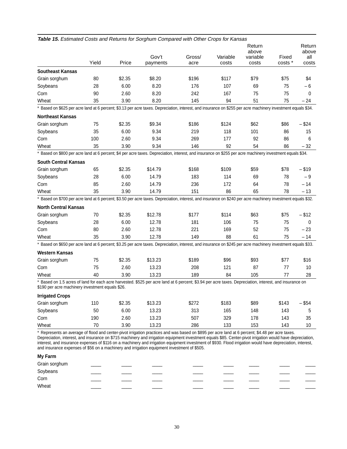|                                                                                                                                                                                                             | Yield | Price  | Gov't<br>payments | Gross/<br>acre | Variable<br>costs | Return<br>above<br>variable<br>costs | Fixed<br>costs * | Return<br>above<br>all<br>costs |
|-------------------------------------------------------------------------------------------------------------------------------------------------------------------------------------------------------------|-------|--------|-------------------|----------------|-------------------|--------------------------------------|------------------|---------------------------------|
| <b>Southeast Kansas</b>                                                                                                                                                                                     |       |        |                   |                |                   |                                      |                  |                                 |
| Grain sorghum                                                                                                                                                                                               | 80    | \$2.35 | \$8.20            | \$196          | \$117             | \$79                                 | \$75             | \$4                             |
| Soybeans                                                                                                                                                                                                    | 28    | 6.00   | 8.20              | 176            | 107               | 69                                   | 75               | - 6                             |
| Corn                                                                                                                                                                                                        | 90    | 2.60   | 8.20              | 242            | 167               | 75                                   | 75               | 0                               |
| Wheat                                                                                                                                                                                                       | 35    | 3.90   | 8.20              | 145            | 94                | 51                                   | 75               | $-24$                           |
| * Based on \$625 per acre land at 6 percent; \$3.13 per acre taxes. Depreciation, interest, and insurance on \$255 per acre machinery investment equals \$34.                                               |       |        |                   |                |                   |                                      |                  |                                 |
| <b>Northeast Kansas</b>                                                                                                                                                                                     |       |        |                   |                |                   |                                      |                  |                                 |
| Grain sorghum                                                                                                                                                                                               | 75    | \$2.35 | \$9.34            | \$186          | \$124             | \$62                                 | \$86             | - \$24                          |
| Soybeans                                                                                                                                                                                                    | 35    | 6.00   | 9.34              | 219            | 118               | 101                                  | 86               | 15                              |
| Corn                                                                                                                                                                                                        | 100   | 2.60   | 9.34              | 269            | 177               | 92                                   | 86               | 6                               |
| Wheat                                                                                                                                                                                                       | 35    | 3.90   | 9.34              | 146            | 92                | 54                                   | 86               | $-32$                           |
| * Based on \$800 per acre land at 6 percent; \$4 per acre taxes. Depreciation, interest, and insurance on \$255 per acre machinery investment equals \$34.                                                  |       |        |                   |                |                   |                                      |                  |                                 |
| <b>South Central Kansas</b>                                                                                                                                                                                 |       |        |                   |                |                   |                                      |                  |                                 |
| Grain sorghum                                                                                                                                                                                               | 65    | \$2.35 | \$14.79           | \$168          | \$109             | \$59                                 | \$78             | - \$19                          |
| Soybeans                                                                                                                                                                                                    | 28    | 6.00   | 14.79             | 183            | 114               | 69                                   | 78               | -9                              |
| Corn                                                                                                                                                                                                        | 85    | 2.60   | 14.79             | 236            | 172               | 64                                   | 78               | $-14$                           |
| Wheat                                                                                                                                                                                                       | 35    | 3.90   | 14.79             | 151            | 86                | 65                                   | 78               | $-13$                           |
| * Based on \$700 per acre land at 6 percent; \$3.50 per acre taxes. Depreciation, interest, and insurance on \$240 per acre machinery investment equals \$32.                                               |       |        |                   |                |                   |                                      |                  |                                 |
| <b>North Central Kansas</b>                                                                                                                                                                                 |       |        |                   |                |                   |                                      |                  |                                 |
| Grain sorghum                                                                                                                                                                                               | 70    | \$2.35 | \$12.78           | \$177          | \$114             | \$63                                 | \$75             | - \$12                          |
| Soybeans                                                                                                                                                                                                    | 28    | 6.00   | 12.78             | 181            | 106               | 75                                   | 75               | $\Omega$                        |
| Corn                                                                                                                                                                                                        | 80    | 2.60   | 12.78             | 221            | 169               | 52                                   | 75               | $-23$                           |
| Wheat                                                                                                                                                                                                       | 35    | 3.90   | 12.78             | 149            | 88                | 61                                   | 75               | $-14$                           |
| * Based on \$650 per acre land at 6 percent; \$3.25 per acre taxes. Depreciation, interest, and insurance on \$245 per acre machinery investment equals \$33.                                               |       |        |                   |                |                   |                                      |                  |                                 |
| <b>Western Kansas</b>                                                                                                                                                                                       |       |        |                   |                |                   |                                      |                  |                                 |
| Grain sorghum                                                                                                                                                                                               | 75    | \$2.35 | \$13.23           | \$189          | \$96              | \$93                                 | \$77             | \$16                            |
| Corn                                                                                                                                                                                                        | 75    | 2.60   | 13.23             | 208            | 121               | 87                                   | 77               | 10                              |
| Wheat                                                                                                                                                                                                       | 40    | 3.90   | 13.23             | 189            | 84                | 105                                  | 77               | 28                              |
| * Based on 1.5 acres of land for each acre harvested. \$525 per acre land at 6 percent; \$3.94 per acre taxes. Depreciation, interest, and insurance on<br>\$190 per acre machinery investment equals \$26. |       |        |                   |                |                   |                                      |                  |                                 |
| <b>Irrigated Crops</b>                                                                                                                                                                                      |       |        |                   |                |                   |                                      |                  |                                 |
| Grain sorghum                                                                                                                                                                                               | 110   | \$2.35 | \$13.23           | \$272          | \$183             | \$89                                 | \$143            | $-$ \$54                        |
| Soybeans                                                                                                                                                                                                    | 50    | 6.00   | 13.23             | 313            | 165               | 148                                  | 143              | 5                               |
| Corn                                                                                                                                                                                                        | 190   | 2.60   | 13.23             | 507            | 329               | 178                                  | 143              | 35                              |
| Wheat                                                                                                                                                                                                       | 70    | 3.90   | 13.23             | 286            | 133               | 153                                  | 143              | 10                              |

**Table 15.** Estimated Costs and Returns for Sorghum Compared with Other Crops for Kansas

\* Represents an average of flood and center-pivot irrigation practices and was based on \$895 per acre land at 6 percent; \$4.48 per acre taxes. Depreciation, interest, and insurance on \$715 machinery and irrigation equipment investment equals \$85. Center-pivot irrigation would have depreciation, interest, and insurance expenses of \$116 on a machinery and irrigation equipment investment of \$930. Flood irrigation would have depreciation, interest, and insurance expenses of \$56 on a machinery and irrigation equipment investment of \$505.

#### **My Farm**

| Grain sorghum |  |  |  |  |
|---------------|--|--|--|--|
| Soybeans      |  |  |  |  |
| Corn          |  |  |  |  |
| Wheat         |  |  |  |  |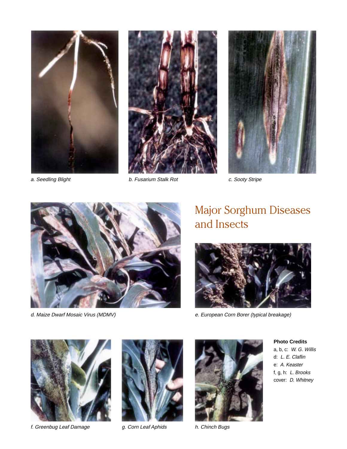





a. Seedling Blight **b. Fusarium Stalk Rot** c. Sooty Stripe



# Major Sorghum Diseases and Insects



d. Maize Dwarf Mosaic Virus (MDMV) e. European Corn Borer (typical breakage)



f. Greenbug Leaf Damage  $\qquad \qquad g.$  Corn Leaf Aphids h. Chinch Bugs





**Photo Credits**

a, b, c: W. G. Willis d: L. E. Claflin e: A. Keaster f, g, h: L. Brooks cover: D. Whitney